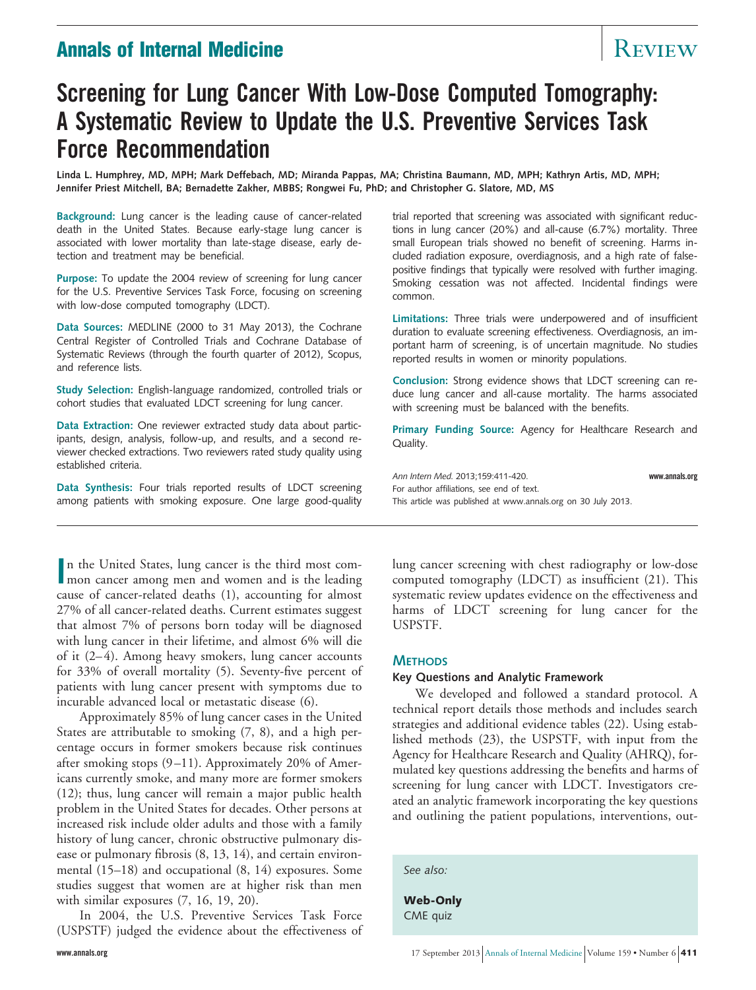## **Annals of Internal Medicine** Review Review Review

# **Screening for Lung Cancer With Low-Dose Computed Tomography: A Systematic Review to Update the U.S. Preventive Services Task Force Recommendation**

**Linda L. Humphrey, MD, MPH; Mark Deffebach, MD; Miranda Pappas, MA; Christina Baumann, MD, MPH; Kathryn Artis, MD, MPH; Jennifer Priest Mitchell, BA; Bernadette Zakher, MBBS; Rongwei Fu, PhD; and Christopher G. Slatore, MD, MS**

**Background:** Lung cancer is the leading cause of cancer-related death in the United States. Because early-stage lung cancer is associated with lower mortality than late-stage disease, early detection and treatment may be beneficial.

**Purpose:** To update the 2004 review of screening for lung cancer for the U.S. Preventive Services Task Force, focusing on screening with low-dose computed tomography (LDCT).

**Data Sources:** MEDLINE (2000 to 31 May 2013), the Cochrane Central Register of Controlled Trials and Cochrane Database of Systematic Reviews (through the fourth quarter of 2012), Scopus, and reference lists.

**Study Selection:** English-language randomized, controlled trials or cohort studies that evaluated LDCT screening for lung cancer.

**Data Extraction:** One reviewer extracted study data about participants, design, analysis, follow-up, and results, and a second reviewer checked extractions. Two reviewers rated study quality using established criteria.

**Data Synthesis:** Four trials reported results of LDCT screening among patients with smoking exposure. One large good-quality

In the United States, lung cancer is the third most common cancer among men and women and is the leading n the United States, lung cancer is the third most comcause of cancer-related deaths (1), accounting for almost 27% of all cancer-related deaths. Current estimates suggest that almost 7% of persons born today will be diagnosed with lung cancer in their lifetime, and almost 6% will die of it (2–4). Among heavy smokers, lung cancer accounts for 33% of overall mortality (5). Seventy-five percent of patients with lung cancer present with symptoms due to incurable advanced local or metastatic disease (6).

Approximately 85% of lung cancer cases in the United States are attributable to smoking (7, 8), and a high percentage occurs in former smokers because risk continues after smoking stops (9–11). Approximately 20% of Americans currently smoke, and many more are former smokers (12); thus, lung cancer will remain a major public health problem in the United States for decades. Other persons at increased risk include older adults and those with a family history of lung cancer, chronic obstructive pulmonary disease or pulmonary fibrosis (8, 13, 14), and certain environmental (15–18) and occupational (8, 14) exposures. Some studies suggest that women are at higher risk than men with similar exposures  $(7, 16, 19, 20)$ .

In 2004, the U.S. Preventive Services Task Force (USPSTF) judged the evidence about the effectiveness of

trial reported that screening was associated with significant reductions in lung cancer (20%) and all-cause (6.7%) mortality. Three small European trials showed no benefit of screening. Harms included radiation exposure, overdiagnosis, and a high rate of falsepositive findings that typically were resolved with further imaging. Smoking cessation was not affected. Incidental findings were common.

**Limitations:** Three trials were underpowered and of insufficient duration to evaluate screening effectiveness. Overdiagnosis, an important harm of screening, is of uncertain magnitude. No studies reported results in women or minority populations.

**Conclusion:** Strong evidence shows that LDCT screening can reduce lung cancer and all-cause mortality. The harms associated with screening must be balanced with the benefits.

**Primary Funding Source:** Agency for Healthcare Research and Quality.

*Ann Intern Med.* 2013;159:411-420. **www.annals.org** For author affiliations, see end of text. This article was published at [www.annals.org](http://www.annals.org) on 30 July 2013.

lung cancer screening with chest radiography or low-dose computed tomography (LDCT) as insufficient (21). This systematic review updates evidence on the effectiveness and harms of LDCT screening for lung cancer for the USPSTF.

### **METHODS**

#### **Key Questions and Analytic Framework**

We developed and followed a standard protocol. A technical report details those methods and includes search strategies and additional evidence tables (22). Using established methods (23), the USPSTF, with input from the Agency for Healthcare Research and Quality (AHRQ), formulated key questions addressing the benefits and harms of screening for lung cancer with LDCT. Investigators created an analytic framework incorporating the key questions and outlining the patient populations, interventions, out-

*See also:*

**Web-Only** CME quiz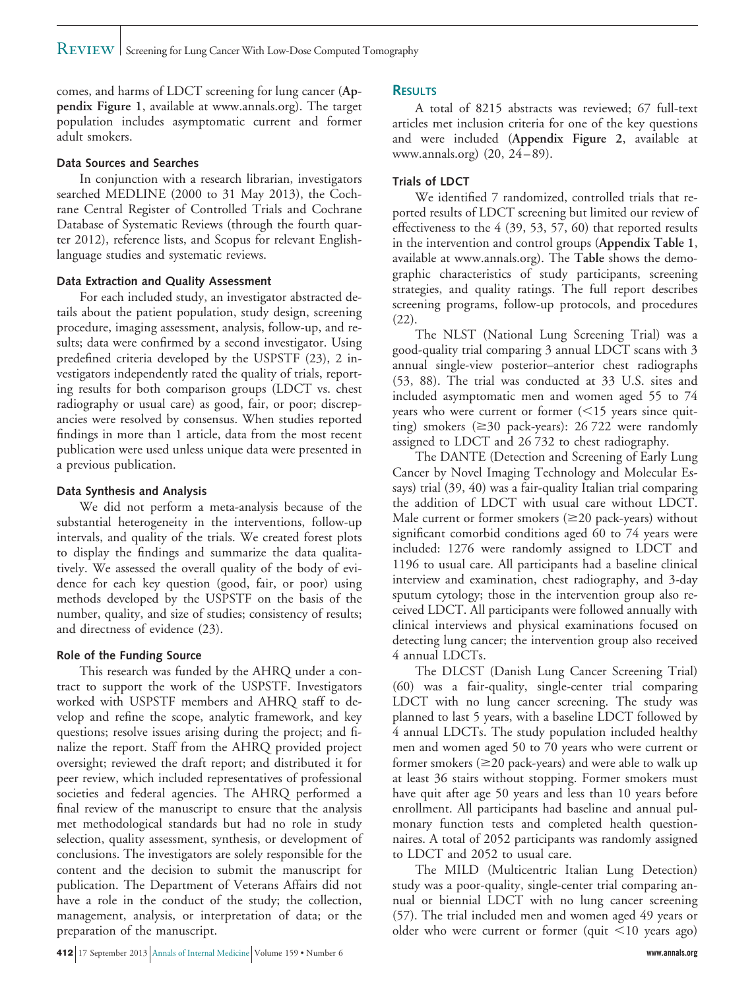comes, and harms of LDCT screening for lung cancer (**Appendix Figure 1**, available at [www.annals.org\)](http://www.annals.org). The target population includes asymptomatic current and former adult smokers.

## **Data Sources and Searches**

In conjunction with a research librarian, investigators searched MEDLINE (2000 to 31 May 2013), the Cochrane Central Register of Controlled Trials and Cochrane Database of Systematic Reviews (through the fourth quarter 2012), reference lists, and Scopus for relevant Englishlanguage studies and systematic reviews.

## **Data Extraction and Quality Assessment**

For each included study, an investigator abstracted details about the patient population, study design, screening procedure, imaging assessment, analysis, follow-up, and results; data were confirmed by a second investigator. Using predefined criteria developed by the USPSTF (23), 2 investigators independently rated the quality of trials, reporting results for both comparison groups (LDCT vs. chest radiography or usual care) as good, fair, or poor; discrepancies were resolved by consensus. When studies reported findings in more than 1 article, data from the most recent publication were used unless unique data were presented in a previous publication.

## **Data Synthesis and Analysis**

We did not perform a meta-analysis because of the substantial heterogeneity in the interventions, follow-up intervals, and quality of the trials. We created forest plots to display the findings and summarize the data qualitatively. We assessed the overall quality of the body of evidence for each key question (good, fair, or poor) using methods developed by the USPSTF on the basis of the number, quality, and size of studies; consistency of results; and directness of evidence (23).

## **Role of the Funding Source**

This research was funded by the AHRQ under a contract to support the work of the USPSTF. Investigators worked with USPSTF members and AHRQ staff to develop and refine the scope, analytic framework, and key questions; resolve issues arising during the project; and finalize the report. Staff from the AHRQ provided project oversight; reviewed the draft report; and distributed it for peer review, which included representatives of professional societies and federal agencies. The AHRQ performed a final review of the manuscript to ensure that the analysis met methodological standards but had no role in study selection, quality assessment, synthesis, or development of conclusions. The investigators are solely responsible for the content and the decision to submit the manuscript for publication. The Department of Veterans Affairs did not have a role in the conduct of the study; the collection, management, analysis, or interpretation of data; or the preparation of the manuscript.

A total of 8215 abstracts was reviewed; 67 full-text articles met inclusion criteria for one of the key questions and were included (**Appendix Figure 2**, available at [www.annals.org\)](http://www.annals.org) (20, 24–89).

## **Trials of LDCT**

We identified 7 randomized, controlled trials that reported results of LDCT screening but limited our review of effectiveness to the 4 (39, 53, 57, 60) that reported results in the intervention and control groups (**Appendix Table 1**, available at [www.annals.org\)](http://www.annals.org). The **Table** shows the demographic characteristics of study participants, screening strategies, and quality ratings. The full report describes screening programs, follow-up protocols, and procedures (22).

The NLST (National Lung Screening Trial) was a good-quality trial comparing 3 annual LDCT scans with 3 annual single-view posterior–anterior chest radiographs (53, 88). The trial was conducted at 33 U.S. sites and included asymptomatic men and women aged 55 to 74 years who were current or former  $(<15$  years since quitting) smokers ( $\geq$ 30 pack-years): 26 722 were randomly assigned to LDCT and 26 732 to chest radiography.

The DANTE (Detection and Screening of Early Lung Cancer by Novel Imaging Technology and Molecular Essays) trial (39, 40) was a fair-quality Italian trial comparing the addition of LDCT with usual care without LDCT. Male current or former smokers  $(\geq 20$  pack-years) without significant comorbid conditions aged 60 to 74 years were included: 1276 were randomly assigned to LDCT and 1196 to usual care. All participants had a baseline clinical interview and examination, chest radiography, and 3-day sputum cytology; those in the intervention group also received LDCT. All participants were followed annually with clinical interviews and physical examinations focused on detecting lung cancer; the intervention group also received 4 annual LDCTs.

The DLCST (Danish Lung Cancer Screening Trial) (60) was a fair-quality, single-center trial comparing LDCT with no lung cancer screening. The study was planned to last 5 years, with a baseline LDCT followed by 4 annual LDCTs. The study population included healthy men and women aged 50 to 70 years who were current or former smokers ( $\geq$ 20 pack-years) and were able to walk up at least 36 stairs without stopping. Former smokers must have quit after age 50 years and less than 10 years before enrollment. All participants had baseline and annual pulmonary function tests and completed health questionnaires. A total of 2052 participants was randomly assigned to LDCT and 2052 to usual care.

The MILD (Multicentric Italian Lung Detection) study was a poor-quality, single-center trial comparing annual or biennial LDCT with no lung cancer screening (57). The trial included men and women aged 49 years or older who were current or former (quit  $\leq 10$  years ago)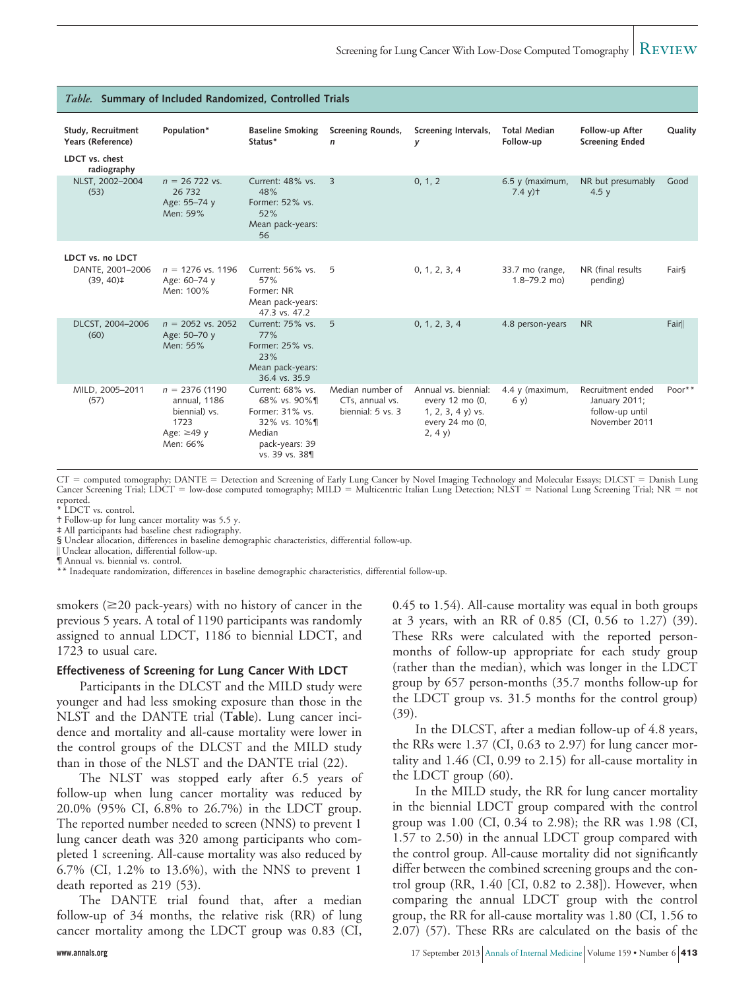| Table. Summary of Included Randomized, Controlled Trials        |                                                                                           |                                                                                                                   |                                                          |                                                                                           |                                     |                                                                        |         |
|-----------------------------------------------------------------|-------------------------------------------------------------------------------------------|-------------------------------------------------------------------------------------------------------------------|----------------------------------------------------------|-------------------------------------------------------------------------------------------|-------------------------------------|------------------------------------------------------------------------|---------|
| Study, Recruitment<br>Years (Reference)<br>LDCT vs. chest       | Population*                                                                               | <b>Baseline Smoking</b><br>Status*                                                                                | Screening Rounds,<br>$\mathsf{n}$                        | Screening Intervals,<br>y                                                                 | <b>Total Median</b><br>Follow-up    | Follow-up After<br><b>Screening Ended</b>                              | Quality |
| radiography<br>NLST, 2002-2004<br>(53)                          | $n = 26$ 722 vs.<br>26 732<br>Age: 55-74 y<br>Men: 59%                                    | Current: 48% vs.<br>48%<br>Former: 52% vs.<br>52%<br>Mean pack-years:<br>56                                       | 3                                                        | 0, 1, 2                                                                                   | 6.5 y (maximum,<br>$7.4 y)$ +       | NR but presumably<br>4.5y                                              | Good    |
| LDCT vs. no LDCT<br>DANTE, 2001-2006<br>$(39, 40)$ <sup>±</sup> | $n = 1276$ vs. 1196<br>Age: 60-74 y<br>Men: 100%                                          | Current: 56% vs.<br>57%<br>Former: NR<br>Mean pack-years:<br>47.3 vs. 47.2                                        | 5                                                        | 0, 1, 2, 3, 4                                                                             | 33.7 mo (range,<br>$1.8 - 79.2$ mo) | NR (final results)<br>pending)                                         | Fair§   |
| DLCST, 2004-2006<br>(60)                                        | $n = 2052$ vs. 2052<br>Age: 50-70 y<br>Men: 55%                                           | Current: 75% vs.<br>77%<br>Former: 25% vs.<br>23%<br>Mean pack-years:<br>36.4 vs. 35.9                            | 5                                                        | 0, 1, 2, 3, 4                                                                             | 4.8 person-years                    | <b>NR</b>                                                              | Fairll  |
| MILD, 2005-2011<br>(57)                                         | $n = 2376(1190)$<br>annual. 1186<br>biennial) vs.<br>1723<br>Age: $\geq$ 49 y<br>Men: 66% | Current: 68% vs.<br>68% vs. 90%¶<br>Former: 31% vs.<br>32% vs. 10%¶<br>Median<br>pack-years: 39<br>vs. 39 vs. 381 | Median number of<br>CTs. annual vs.<br>biennial: 5 vs. 3 | Annual vs. biennial:<br>every 12 mo (0,<br>1, 2, 3, 4 y) vs.<br>every 24 mo (0,<br>2, 4y) | 4.4 y (maximum,<br>6 y)             | Recruitment ended<br>January 2011;<br>follow-up until<br>November 2011 | Poor**  |

CT = computed tomography; DANTE = Detection and Screening of Early Lung Cancer by Novel Imaging Technology and Molecular Essays; DLCST = Danish Lung Cancer Screening Trial; LDCT = low-dose computed tomography; MILD = Multicentric Italian Lung Detection; NLST = National Lung Screening Trial; NR = not reported. \* LDCT vs. control.

† Follow-up for lung cancer mortality was 5.5 y.

‡ All participants had baseline chest radiography.

§ Unclear allocation, differences in baseline demographic characteristics, differential follow-up.

Unclear allocation, differential follow-up.

¶ Annual vs. biennial vs. control.

\*\* Inadequate randomization, differences in baseline demographic characteristics, differential follow-up.

smokers  $(\geq 20$  pack-years) with no history of cancer in the previous 5 years. A total of 1190 participants was randomly assigned to annual LDCT, 1186 to biennial LDCT, and 1723 to usual care.

### **Effectiveness of Screening for Lung Cancer With LDCT**

Participants in the DLCST and the MILD study were younger and had less smoking exposure than those in the NLST and the DANTE trial (**Table**). Lung cancer incidence and mortality and all-cause mortality were lower in the control groups of the DLCST and the MILD study than in those of the NLST and the DANTE trial (22).

The NLST was stopped early after 6.5 years of follow-up when lung cancer mortality was reduced by 20.0% (95% CI, 6.8% to 26.7%) in the LDCT group. The reported number needed to screen (NNS) to prevent 1 lung cancer death was 320 among participants who completed 1 screening. All-cause mortality was also reduced by 6.7% (CI, 1.2% to 13.6%), with the NNS to prevent 1 death reported as 219 (53).

The DANTE trial found that, after a median follow-up of 34 months, the relative risk (RR) of lung cancer mortality among the LDCT group was 0.83 (CI, 0.45 to 1.54). All-cause mortality was equal in both groups at 3 years, with an RR of 0.85 (CI, 0.56 to 1.27) (39). These RRs were calculated with the reported personmonths of follow-up appropriate for each study group (rather than the median), which was longer in the LDCT group by 657 person-months (35.7 months follow-up for the LDCT group vs. 31.5 months for the control group) (39).

In the DLCST, after a median follow-up of 4.8 years, the RRs were 1.37 (CI, 0.63 to 2.97) for lung cancer mortality and 1.46 (CI, 0.99 to 2.15) for all-cause mortality in the LDCT group (60).

In the MILD study, the RR for lung cancer mortality in the biennial LDCT group compared with the control group was 1.00 (CI, 0.34 to 2.98); the RR was 1.98 (CI, 1.57 to 2.50) in the annual LDCT group compared with the control group. All-cause mortality did not significantly differ between the combined screening groups and the control group (RR, 1.40 [CI, 0.82 to 2.38]). However, when comparing the annual LDCT group with the control group, the RR for all-cause mortality was 1.80 (CI, 1.56 to 2.07) (57). These RRs are calculated on the basis of the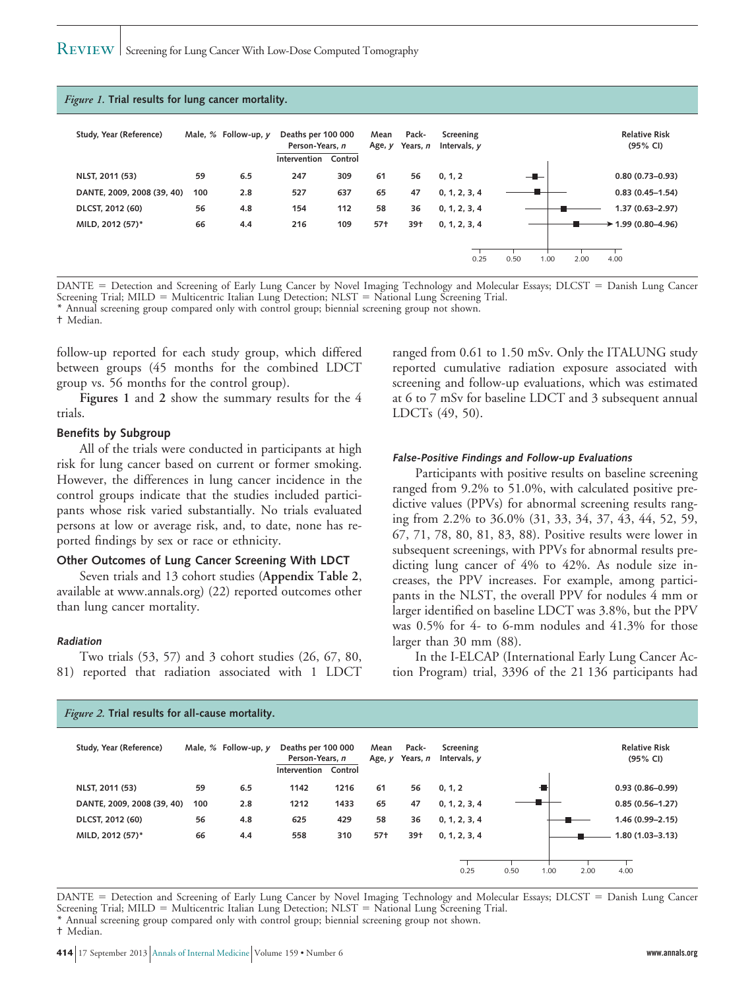

DANTE = Detection and Screening of Early Lung Cancer by Novel Imaging Technology and Molecular Essays; DLCST = Danish Lung Cancer Screening Trial; MILD = Multicentric Italian Lung Detection; NLST = National Lung Screening Trial.

Annual screening group compared only with control group; biennial screening group not shown.

† Median.

follow-up reported for each study group, which differed between groups (45 months for the combined LDCT group vs. 56 months for the control group).

**Figures 1** and **2** show the summary results for the 4 trials.

#### **Benefits by Subgroup**

All of the trials were conducted in participants at high risk for lung cancer based on current or former smoking. However, the differences in lung cancer incidence in the control groups indicate that the studies included participants whose risk varied substantially. No trials evaluated persons at low or average risk, and, to date, none has reported findings by sex or race or ethnicity.

### **Other Outcomes of Lung Cancer Screening With LDCT**

Seven trials and 13 cohort studies (**Appendix Table 2**, available at [www.annals.org\)](http://www.annals.org) (22) reported outcomes other than lung cancer mortality.

### **Radiation**

Two trials (53, 57) and 3 cohort studies (26, 67, 80, 81) reported that radiation associated with 1 LDCT ranged from 0.61 to 1.50 mSv. Only the ITALUNG study reported cumulative radiation exposure associated with screening and follow-up evaluations, which was estimated at 6 to 7 mSv for baseline LDCT and 3 subsequent annual LDCTs (49, 50).

#### **False-Positive Findings and Follow-up Evaluations**

Participants with positive results on baseline screening ranged from 9.2% to 51.0%, with calculated positive predictive values (PPVs) for abnormal screening results ranging from 2.2% to 36.0% (31, 33, 34, 37, 43, 44, 52, 59, 67, 71, 78, 80, 81, 83, 88). Positive results were lower in subsequent screenings, with PPVs for abnormal results predicting lung cancer of 4% to 42%. As nodule size increases, the PPV increases. For example, among participants in the NLST, the overall PPV for nodules 4 mm or larger identified on baseline LDCT was 3.8%, but the PPV was 0.5% for 4- to 6-mm nodules and 41.3% for those larger than 30 mm (88).

In the I-ELCAP (International Early Lung Cancer Action Program) trial, 3396 of the 21 136 participants had



DANTE = Detection and Screening of Early Lung Cancer by Novel Imaging Technology and Molecular Essays; DLCST = Danish Lung Cancer Screening Trial; MILD = Multicentric Italian Lung Detection; NLST = National Lung Screening Trial. Annual screening group compared only with control group; biennial screening group not shown.

† Median.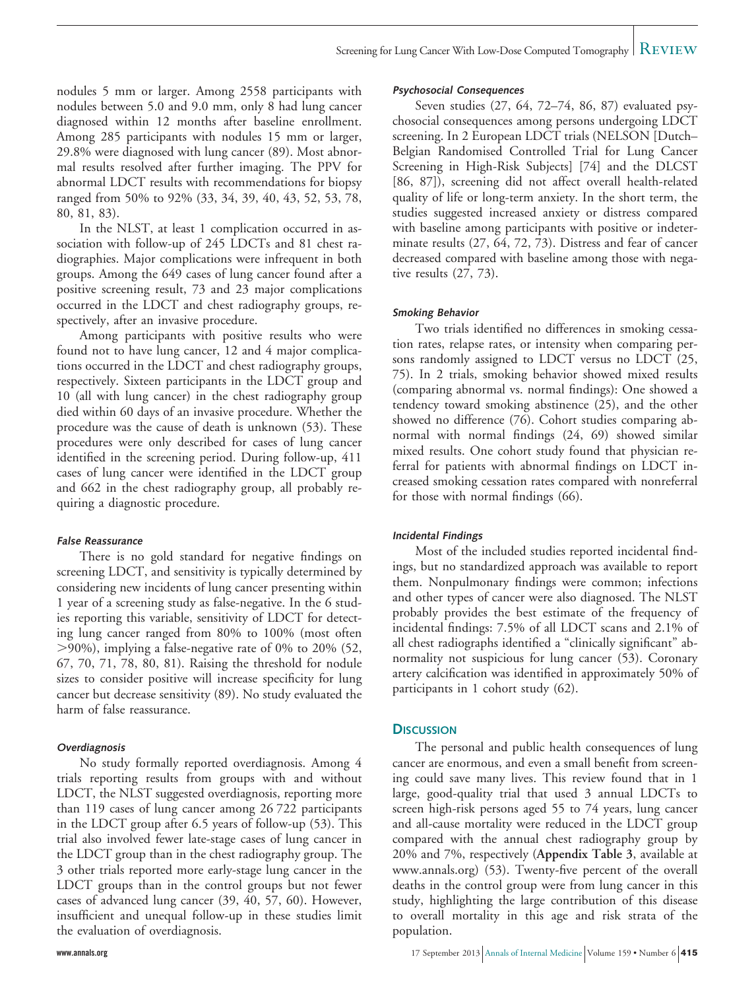nodules 5 mm or larger. Among 2558 participants with nodules between 5.0 and 9.0 mm, only 8 had lung cancer diagnosed within 12 months after baseline enrollment. Among 285 participants with nodules 15 mm or larger, 29.8% were diagnosed with lung cancer (89). Most abnormal results resolved after further imaging. The PPV for abnormal LDCT results with recommendations for biopsy ranged from 50% to 92% (33, 34, 39, 40, 43, 52, 53, 78, 80, 81, 83).

In the NLST, at least 1 complication occurred in association with follow-up of 245 LDCTs and 81 chest radiographies. Major complications were infrequent in both groups. Among the 649 cases of lung cancer found after a positive screening result, 73 and 23 major complications occurred in the LDCT and chest radiography groups, respectively, after an invasive procedure.

Among participants with positive results who were found not to have lung cancer, 12 and 4 major complications occurred in the LDCT and chest radiography groups, respectively. Sixteen participants in the LDCT group and 10 (all with lung cancer) in the chest radiography group died within 60 days of an invasive procedure. Whether the procedure was the cause of death is unknown (53). These procedures were only described for cases of lung cancer identified in the screening period. During follow-up, 411 cases of lung cancer were identified in the LDCT group and 662 in the chest radiography group, all probably requiring a diagnostic procedure.

### **False Reassurance**

There is no gold standard for negative findings on screening LDCT, and sensitivity is typically determined by considering new incidents of lung cancer presenting within 1 year of a screening study as false-negative. In the 6 studies reporting this variable, sensitivity of LDCT for detecting lung cancer ranged from 80% to 100% (most often  $>90\%$ ), implying a false-negative rate of 0% to 20% (52, 67, 70, 71, 78, 80, 81). Raising the threshold for nodule sizes to consider positive will increase specificity for lung cancer but decrease sensitivity (89). No study evaluated the harm of false reassurance.

#### **Overdiagnosis**

No study formally reported overdiagnosis. Among 4 trials reporting results from groups with and without LDCT, the NLST suggested overdiagnosis, reporting more than 119 cases of lung cancer among 26 722 participants in the LDCT group after 6.5 years of follow-up (53). This trial also involved fewer late-stage cases of lung cancer in the LDCT group than in the chest radiography group. The 3 other trials reported more early-stage lung cancer in the LDCT groups than in the control groups but not fewer cases of advanced lung cancer (39, 40, 57, 60). However, insufficient and unequal follow-up in these studies limit the evaluation of overdiagnosis.

#### **Psychosocial Consequences**

Seven studies (27, 64, 72–74, 86, 87) evaluated psychosocial consequences among persons undergoing LDCT screening. In 2 European LDCT trials (NELSON [Dutch– Belgian Randomised Controlled Trial for Lung Cancer Screening in High-Risk Subjects] [74] and the DLCST [86, 87]), screening did not affect overall health-related quality of life or long-term anxiety. In the short term, the studies suggested increased anxiety or distress compared with baseline among participants with positive or indeterminate results (27, 64, 72, 73). Distress and fear of cancer decreased compared with baseline among those with negative results (27, 73).

#### **Smoking Behavior**

Two trials identified no differences in smoking cessation rates, relapse rates, or intensity when comparing persons randomly assigned to LDCT versus no LDCT (25, 75). In 2 trials, smoking behavior showed mixed results (comparing abnormal vs. normal findings): One showed a tendency toward smoking abstinence (25), and the other showed no difference (76). Cohort studies comparing abnormal with normal findings (24, 69) showed similar mixed results. One cohort study found that physician referral for patients with abnormal findings on LDCT increased smoking cessation rates compared with nonreferral for those with normal findings (66).

#### **Incidental Findings**

Most of the included studies reported incidental findings, but no standardized approach was available to report them. Nonpulmonary findings were common; infections and other types of cancer were also diagnosed. The NLST probably provides the best estimate of the frequency of incidental findings: 7.5% of all LDCT scans and 2.1% of all chest radiographs identified a "clinically significant" abnormality not suspicious for lung cancer (53). Coronary artery calcification was identified in approximately 50% of participants in 1 cohort study (62).

### **DISCUSSION**

The personal and public health consequences of lung cancer are enormous, and even a small benefit from screening could save many lives. This review found that in 1 large, good-quality trial that used 3 annual LDCTs to screen high-risk persons aged 55 to 74 years, lung cancer and all-cause mortality were reduced in the LDCT group compared with the annual chest radiography group by 20% and 7%, respectively (**Appendix Table 3**, available at [www.annals.org\)](http://www.annals.org) (53). Twenty-five percent of the overall deaths in the control group were from lung cancer in this study, highlighting the large contribution of this disease to overall mortality in this age and risk strata of the population.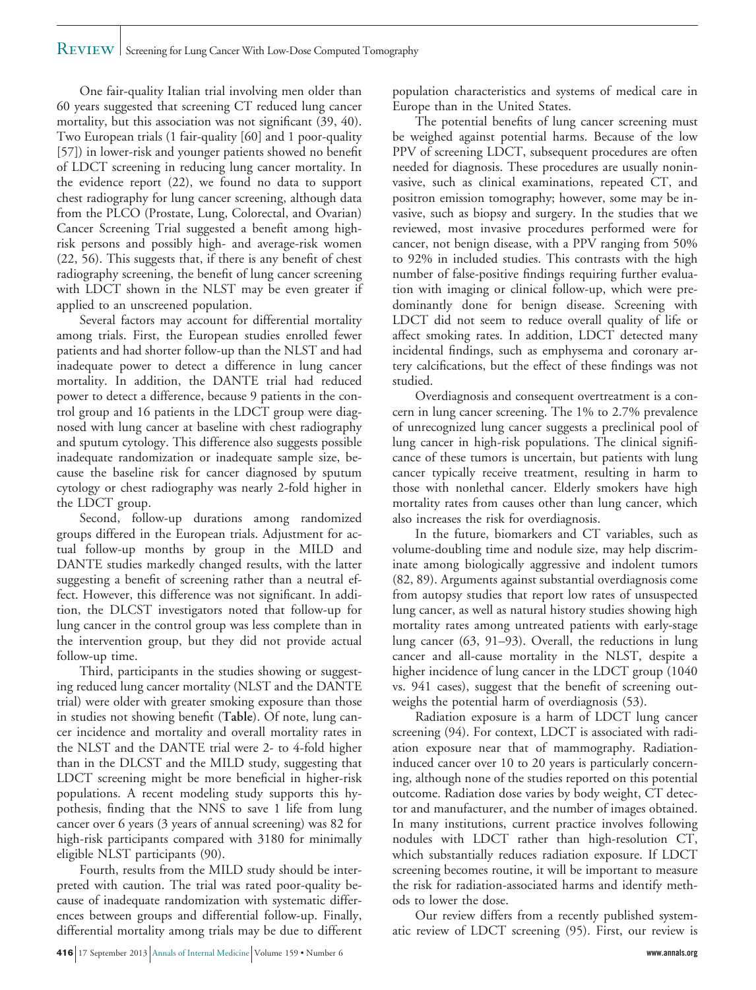## **REVIEW** Screening for Lung Cancer With Low-Dose Computed Tomography

One fair-quality Italian trial involving men older than 60 years suggested that screening CT reduced lung cancer mortality, but this association was not significant (39, 40). Two European trials (1 fair-quality [60] and 1 poor-quality [57]) in lower-risk and younger patients showed no benefit of LDCT screening in reducing lung cancer mortality. In the evidence report (22), we found no data to support chest radiography for lung cancer screening, although data from the PLCO (Prostate, Lung, Colorectal, and Ovarian) Cancer Screening Trial suggested a benefit among highrisk persons and possibly high- and average-risk women (22, 56). This suggests that, if there is any benefit of chest radiography screening, the benefit of lung cancer screening with LDCT shown in the NLST may be even greater if applied to an unscreened population.

Several factors may account for differential mortality among trials. First, the European studies enrolled fewer patients and had shorter follow-up than the NLST and had inadequate power to detect a difference in lung cancer mortality. In addition, the DANTE trial had reduced power to detect a difference, because 9 patients in the control group and 16 patients in the LDCT group were diagnosed with lung cancer at baseline with chest radiography and sputum cytology. This difference also suggests possible inadequate randomization or inadequate sample size, because the baseline risk for cancer diagnosed by sputum cytology or chest radiography was nearly 2-fold higher in the LDCT group.

Second, follow-up durations among randomized groups differed in the European trials. Adjustment for actual follow-up months by group in the MILD and DANTE studies markedly changed results, with the latter suggesting a benefit of screening rather than a neutral effect. However, this difference was not significant. In addition, the DLCST investigators noted that follow-up for lung cancer in the control group was less complete than in the intervention group, but they did not provide actual follow-up time.

Third, participants in the studies showing or suggesting reduced lung cancer mortality (NLST and the DANTE trial) were older with greater smoking exposure than those in studies not showing benefit (**Table**). Of note, lung cancer incidence and mortality and overall mortality rates in the NLST and the DANTE trial were 2- to 4-fold higher than in the DLCST and the MILD study, suggesting that LDCT screening might be more beneficial in higher-risk populations. A recent modeling study supports this hypothesis, finding that the NNS to save 1 life from lung cancer over 6 years (3 years of annual screening) was 82 for high-risk participants compared with 3180 for minimally eligible NLST participants (90).

Fourth, results from the MILD study should be interpreted with caution. The trial was rated poor-quality because of inadequate randomization with systematic differences between groups and differential follow-up. Finally, differential mortality among trials may be due to different

population characteristics and systems of medical care in Europe than in the United States.

The potential benefits of lung cancer screening must be weighed against potential harms. Because of the low PPV of screening LDCT, subsequent procedures are often needed for diagnosis. These procedures are usually noninvasive, such as clinical examinations, repeated CT, and positron emission tomography; however, some may be invasive, such as biopsy and surgery. In the studies that we reviewed, most invasive procedures performed were for cancer, not benign disease, with a PPV ranging from 50% to 92% in included studies. This contrasts with the high number of false-positive findings requiring further evaluation with imaging or clinical follow-up, which were predominantly done for benign disease. Screening with LDCT did not seem to reduce overall quality of life or affect smoking rates. In addition, LDCT detected many incidental findings, such as emphysema and coronary artery calcifications, but the effect of these findings was not studied.

Overdiagnosis and consequent overtreatment is a concern in lung cancer screening. The 1% to 2.7% prevalence of unrecognized lung cancer suggests a preclinical pool of lung cancer in high-risk populations. The clinical significance of these tumors is uncertain, but patients with lung cancer typically receive treatment, resulting in harm to those with nonlethal cancer. Elderly smokers have high mortality rates from causes other than lung cancer, which also increases the risk for overdiagnosis.

In the future, biomarkers and CT variables, such as volume-doubling time and nodule size, may help discriminate among biologically aggressive and indolent tumors (82, 89). Arguments against substantial overdiagnosis come from autopsy studies that report low rates of unsuspected lung cancer, as well as natural history studies showing high mortality rates among untreated patients with early-stage lung cancer (63, 91–93). Overall, the reductions in lung cancer and all-cause mortality in the NLST, despite a higher incidence of lung cancer in the LDCT group (1040 vs. 941 cases), suggest that the benefit of screening outweighs the potential harm of overdiagnosis (53).

Radiation exposure is a harm of LDCT lung cancer screening (94). For context, LDCT is associated with radiation exposure near that of mammography. Radiationinduced cancer over 10 to 20 years is particularly concerning, although none of the studies reported on this potential outcome. Radiation dose varies by body weight, CT detector and manufacturer, and the number of images obtained. In many institutions, current practice involves following nodules with LDCT rather than high-resolution CT, which substantially reduces radiation exposure. If LDCT screening becomes routine, it will be important to measure the risk for radiation-associated harms and identify methods to lower the dose.

Our review differs from a recently published systematic review of LDCT screening (95). First, our review is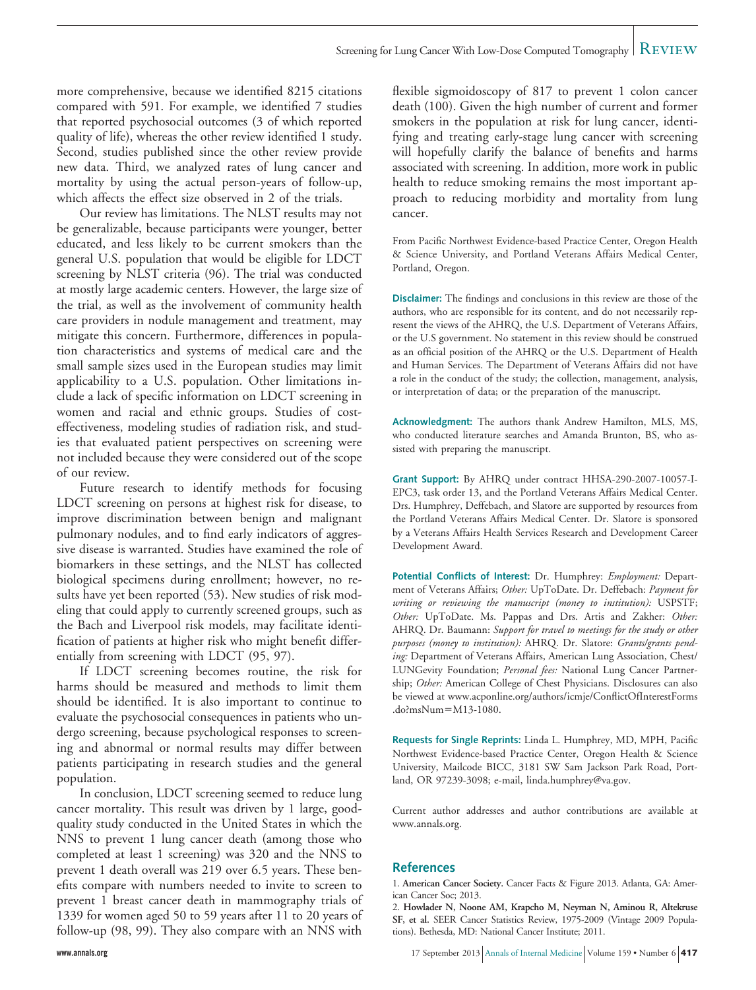more comprehensive, because we identified 8215 citations compared with 591. For example, we identified 7 studies that reported psychosocial outcomes (3 of which reported quality of life), whereas the other review identified 1 study. Second, studies published since the other review provide new data. Third, we analyzed rates of lung cancer and mortality by using the actual person-years of follow-up, which affects the effect size observed in 2 of the trials.

Our review has limitations. The NLST results may not be generalizable, because participants were younger, better educated, and less likely to be current smokers than the general U.S. population that would be eligible for LDCT screening by NLST criteria (96). The trial was conducted at mostly large academic centers. However, the large size of the trial, as well as the involvement of community health care providers in nodule management and treatment, may mitigate this concern. Furthermore, differences in population characteristics and systems of medical care and the small sample sizes used in the European studies may limit applicability to a U.S. population. Other limitations include a lack of specific information on LDCT screening in women and racial and ethnic groups. Studies of costeffectiveness, modeling studies of radiation risk, and studies that evaluated patient perspectives on screening were not included because they were considered out of the scope of our review.

Future research to identify methods for focusing LDCT screening on persons at highest risk for disease, to improve discrimination between benign and malignant pulmonary nodules, and to find early indicators of aggressive disease is warranted. Studies have examined the role of biomarkers in these settings, and the NLST has collected biological specimens during enrollment; however, no results have yet been reported (53). New studies of risk modeling that could apply to currently screened groups, such as the Bach and Liverpool risk models, may facilitate identification of patients at higher risk who might benefit differentially from screening with LDCT (95, 97).

If LDCT screening becomes routine, the risk for harms should be measured and methods to limit them should be identified. It is also important to continue to evaluate the psychosocial consequences in patients who undergo screening, because psychological responses to screening and abnormal or normal results may differ between patients participating in research studies and the general population.

In conclusion, LDCT screening seemed to reduce lung cancer mortality. This result was driven by 1 large, goodquality study conducted in the United States in which the NNS to prevent 1 lung cancer death (among those who completed at least 1 screening) was 320 and the NNS to prevent 1 death overall was 219 over 6.5 years. These benefits compare with numbers needed to invite to screen to prevent 1 breast cancer death in mammography trials of 1339 for women aged 50 to 59 years after 11 to 20 years of follow-up (98, 99). They also compare with an NNS with

flexible sigmoidoscopy of 817 to prevent 1 colon cancer death (100). Given the high number of current and former smokers in the population at risk for lung cancer, identifying and treating early-stage lung cancer with screening will hopefully clarify the balance of benefits and harms associated with screening. In addition, more work in public health to reduce smoking remains the most important approach to reducing morbidity and mortality from lung cancer.

From Pacific Northwest Evidence-based Practice Center, Oregon Health & Science University, and Portland Veterans Affairs Medical Center, Portland, Oregon.

**Disclaimer:** The findings and conclusions in this review are those of the authors, who are responsible for its content, and do not necessarily represent the views of the AHRQ, the U.S. Department of Veterans Affairs, or the U.S government. No statement in this review should be construed as an official position of the AHRQ or the U.S. Department of Health and Human Services. The Department of Veterans Affairs did not have a role in the conduct of the study; the collection, management, analysis, or interpretation of data; or the preparation of the manuscript.

**Acknowledgment:** The authors thank Andrew Hamilton, MLS, MS, who conducted literature searches and Amanda Brunton, BS, who assisted with preparing the manuscript.

**Grant Support:** By AHRQ under contract HHSA-290-2007-10057-I-EPC3, task order 13, and the Portland Veterans Affairs Medical Center. Drs. Humphrey, Deffebach, and Slatore are supported by resources from the Portland Veterans Affairs Medical Center. Dr. Slatore is sponsored by a Veterans Affairs Health Services Research and Development Career Development Award.

**Potential Conflicts of Interest:** Dr. Humphrey: *Employment:* Department of Veterans Affairs; *Other:* UpToDate. Dr. Deffebach: *Payment for writing or reviewing the manuscript (money to institution):* USPSTF; *Other:* UpToDate. Ms. Pappas and Drs. Artis and Zakher: *Other:* AHRQ. Dr. Baumann: *Support for travel to meetings for the study or other purposes (money to institution):* AHRQ. Dr. Slatore: *Grants/grants pending:* Department of Veterans Affairs, American Lung Association, Chest/ LUNGevity Foundation; *Personal fees:* National Lung Cancer Partnership; *Other:* American College of Chest Physicians. Disclosures can also be viewed at [www.acponline.org/authors/icmje/ConflictOfInterestForms](www.acponline.org/authors/icmje/ConflictOfInterestForms.do?msNum=M13-1080) [.do?msNum](www.acponline.org/authors/icmje/ConflictOfInterestForms.do?msNum=M13-1080)-M13-1080.

**Requests for Single Reprints:** Linda L. Humphrey, MD, MPH, Pacific Northwest Evidence-based Practice Center, Oregon Health & Science University, Mailcode BICC, 3181 SW Sam Jackson Park Road, Portland, OR 97239-3098; e-mail, [linda.humphrey@va.gov.](mailto:linda.humphrey@va.gov)

Current author addresses and author contributions are available at [www.annals.org.](http://www.annals.org)

## **References**

1. **American Cancer Society.** Cancer Facts & Figure 2013. Atlanta, GA: American Cancer Soc; 2013.

2. **Howlader N, Noone AM, Krapcho M, Neyman N, Aminou R, Altekruse SF, et al.** SEER Cancer Statistics Review, 1975-2009 (Vintage 2009 Populations). Bethesda, MD: National Cancer Institute; 2011.

**www.annals.org** 17 September 2013 Annals of Internal Medicine Volume 159 • Number 6 **417**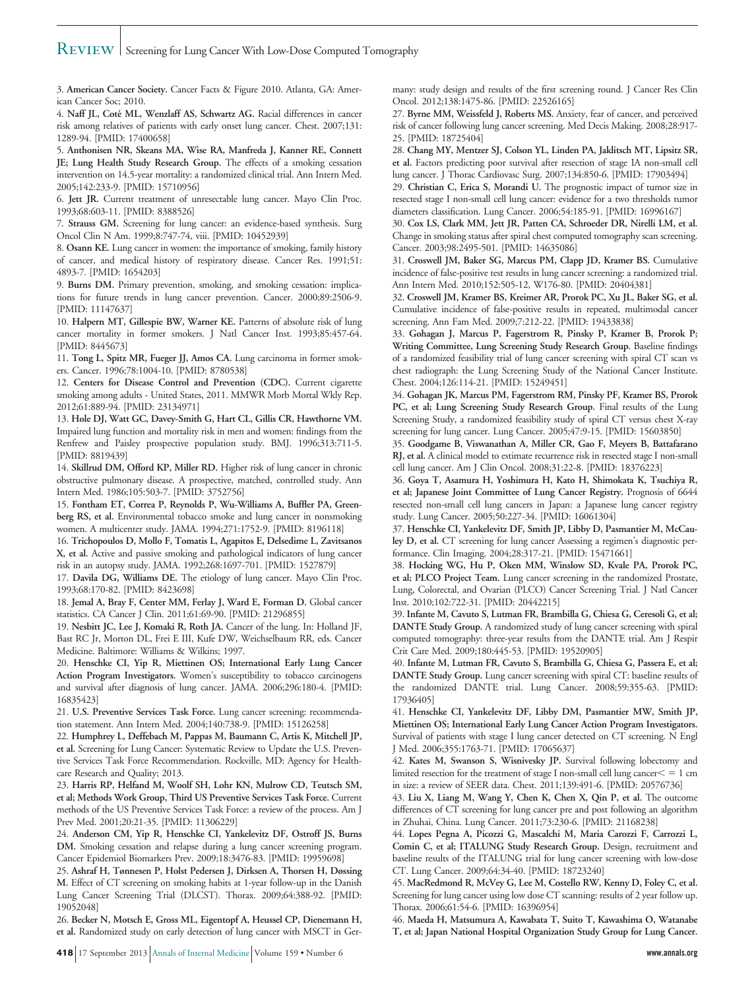3. **American Cancer Society.** Cancer Facts & Figure 2010. Atlanta, GA: American Cancer Soc; 2010.

4. Naff JL, Coté ML, Wenzlaff AS, Schwartz AG. Racial differences in cancer risk among relatives of patients with early onset lung cancer. Chest. 2007;131: 1289-94. [PMID: 17400658]

5. **Anthonisen NR, Skeans MA, Wise RA, Manfreda J, Kanner RE, Connett JE; Lung Health Study Research Group.** The effects of a smoking cessation intervention on 14.5-year mortality: a randomized clinical trial. Ann Intern Med. 2005;142:233-9. [PMID: 15710956]

6. **Jett JR.** Current treatment of unresectable lung cancer. Mayo Clin Proc. 1993;68:603-11. [PMID: 8388526]

7. **Strauss GM.** Screening for lung cancer: an evidence-based synthesis. Surg Oncol Clin N Am. 1999;8:747-74, viii. [PMID: 10452939]

8. **Osann KE.** Lung cancer in women: the importance of smoking, family history of cancer, and medical history of respiratory disease. Cancer Res. 1991;51: 4893-7. [PMID: 1654203]

9. **Burns DM.** Primary prevention, smoking, and smoking cessation: implications for future trends in lung cancer prevention. Cancer. 2000;89:2506-9. [PMID: 11147637]

10. **Halpern MT, Gillespie BW, Warner KE.** Patterns of absolute risk of lung cancer mortality in former smokers. J Natl Cancer Inst. 1993;85:457-64. [PMID: 8445673]

11. **Tong L, Spitz MR, Fueger JJ, Amos CA.** Lung carcinoma in former smokers. Cancer. 1996;78:1004-10. [PMID: 8780538]

12. **Centers for Disease Control and Prevention (CDC).** Current cigarette smoking among adults - United States, 2011. MMWR Morb Mortal Wkly Rep. 2012;61:889-94. [PMID: 23134971]

13. **Hole DJ, Watt GC, Davey-Smith G, Hart CL, Gillis CR, Hawthorne VM.** Impaired lung function and mortality risk in men and women: findings from the Renfrew and Paisley prospective population study. BMJ. 1996;313:711-5. [PMID: 8819439]

14. **Skillrud DM, Offord KP, Miller RD.** Higher risk of lung cancer in chronic obstructive pulmonary disease. A prospective, matched, controlled study. Ann Intern Med. 1986;105:503-7. [PMID: 3752756]

15. **Fontham ET, Correa P, Reynolds P, Wu-Williams A, Buffler PA, Greenberg RS, et al.** Environmental tobacco smoke and lung cancer in nonsmoking women. A multicenter study. JAMA. 1994;271:1752-9. [PMID: 8196118]

16. **Trichopoulos D, Mollo F, Tomatis L, Agapitos E, Delsedime L, Zavitsanos X, et al.** Active and passive smoking and pathological indicators of lung cancer risk in an autopsy study. JAMA. 1992;268:1697-701. [PMID: 1527879]

17. **Davila DG, Williams DE.** The etiology of lung cancer. Mayo Clin Proc. 1993;68:170-82. [PMID: 8423698]

18. **Jemal A, Bray F, Center MM, Ferlay J, Ward E, Forman D.** Global cancer statistics. CA Cancer J Clin. 2011;61:69-90. [PMID: 21296855]

19. **Nesbitt JC, Lee J, Komaki R, Roth JA.** Cancer of the lung. In: Holland JF, Bast RC Jr, Morton DL, Frei E III, Kufe DW, Weichselbaum RR, eds. Cancer Medicine. Baltimore: Williams & Wilkins; 1997.

20. **Henschke CI, Yip R, Miettinen OS; International Early Lung Cancer Action Program Investigators.** Women's susceptibility to tobacco carcinogens and survival after diagnosis of lung cancer. JAMA. 2006;296:180-4. [PMID: 16835423]

21. **U.S. Preventive Services Task Force.** Lung cancer screening: recommendation statement. Ann Intern Med. 2004;140:738-9. [PMID: 15126258]

22. **Humphrey L, Deffebach M, Pappas M, Baumann C, Artis K, Mitchell JP, et al.** Screening for Lung Cancer: Systematic Review to Update the U.S. Preventive Services Task Force Recommendation. Rockville, MD: Agency for Healthcare Research and Quality; 2013.

23. **Harris RP, Helfand M, Woolf SH, Lohr KN, Mulrow CD, Teutsch SM, et al; Methods Work Group, Third US Preventive Services Task Force.** Current methods of the US Preventive Services Task Force: a review of the process. Am J Prev Med. 2001;20:21-35. [PMID: 11306229]

24. **Anderson CM, Yip R, Henschke CI, Yankelevitz DF, Ostroff JS, Burns DM.** Smoking cessation and relapse during a lung cancer screening program. Cancer Epidemiol Biomarkers Prev. 2009;18:3476-83. [PMID: 19959698]

25. **Ashraf H, Tønnesen P, Holst Pedersen J, Dirksen A, Thorsen H, Døssing M.** Effect of CT screening on smoking habits at 1-year follow-up in the Danish Lung Cancer Screening Trial (DLCST). Thorax. 2009;64:388-92. [PMID: 19052048]

26. **Becker N, Motsch E, Gross ML, Eigentopf A, Heussel CP, Dienemann H, et al.** Randomized study on early detection of lung cancer with MSCT in Germany: study design and results of the first screening round. J Cancer Res Clin Oncol. 2012;138:1475-86. [PMID: 22526165]

27. **Byrne MM, Weissfeld J, Roberts MS.** Anxiety, fear of cancer, and perceived risk of cancer following lung cancer screening. Med Decis Making. 2008;28:917- 25. [PMID: 18725404]

28. **Chang MY, Mentzer SJ, Colson YL, Linden PA, Jaklitsch MT, Lipsitz SR, et al.** Factors predicting poor survival after resection of stage IA non-small cell lung cancer. J Thorac Cardiovasc Surg. 2007;134:850-6. [PMID: 17903494]

29. **Christian C, Erica S, Morandi U.** The prognostic impact of tumor size in resected stage I non-small cell lung cancer: evidence for a two thresholds tumor diameters classification. Lung Cancer. 2006;54:185-91. [PMID: 16996167]

30. **Cox LS, Clark MM, Jett JR, Patten CA, Schroeder DR, Nirelli LM, et al.** Change in smoking status after spiral chest computed tomography scan screening. Cancer. 2003;98:2495-501. [PMID: 14635086]

31. **Croswell JM, Baker SG, Marcus PM, Clapp JD, Kramer BS.** Cumulative incidence of false-positive test results in lung cancer screening: a randomized trial. Ann Intern Med. 2010;152:505-12, W176-80. [PMID: 20404381]

32. **Croswell JM, Kramer BS, Kreimer AR, Prorok PC, Xu JL, Baker SG, et al.** Cumulative incidence of false-positive results in repeated, multimodal cancer screening. Ann Fam Med. 2009;7:212-22. [PMID: 19433838]

33. **Gohagan J, Marcus P, Fagerstrom R, Pinsky P, Kramer B, Prorok P; Writing Committee, Lung Screening Study Research Group.** Baseline findings of a randomized feasibility trial of lung cancer screening with spiral CT scan vs chest radiograph: the Lung Screening Study of the National Cancer Institute. Chest. 2004;126:114-21. [PMID: 15249451]

34. **Gohagan JK, Marcus PM, Fagerstrom RM, Pinsky PF, Kramer BS, Prorok PC, et al; Lung Screening Study Research Group.** Final results of the Lung Screening Study, a randomized feasibility study of spiral CT versus chest X-ray screening for lung cancer. Lung Cancer. 2005;47:9-15. [PMID: 15603850]

35. **Goodgame B, Viswanathan A, Miller CR, Gao F, Meyers B, Battafarano RJ, et al.** A clinical model to estimate recurrence risk in resected stage I non-small cell lung cancer. Am J Clin Oncol. 2008;31:22-8. [PMID: 18376223]

36. **Goya T, Asamura H, Yoshimura H, Kato H, Shimokata K, Tsuchiya R, et al; Japanese Joint Committee of Lung Cancer Registry.** Prognosis of 6644 resected non-small cell lung cancers in Japan: a Japanese lung cancer registry study. Lung Cancer. 2005;50:227-34. [PMID: 16061304]

37. **Henschke CI, Yankelevitz DF, Smith JP, Libby D, Pasmantier M, McCauley D, et al.** CT screening for lung cancer Assessing a regimen's diagnostic performance. Clin Imaging. 2004;28:317-21. [PMID: 15471661]

38. **Hocking WG, Hu P, Oken MM, Winslow SD, Kvale PA, Prorok PC, et al; PLCO Project Team.** Lung cancer screening in the randomized Prostate, Lung, Colorectal, and Ovarian (PLCO) Cancer Screening Trial. J Natl Cancer Inst. 2010;102:722-31. [PMID: 20442215]

39. **Infante M, Cavuto S, Lutman FR, Brambilla G, Chiesa G, Ceresoli G, et al; DANTE Study Group.** A randomized study of lung cancer screening with spiral computed tomography: three-year results from the DANTE trial. Am J Respir Crit Care Med. 2009;180:445-53. [PMID: 19520905]

40. **Infante M, Lutman FR, Cavuto S, Brambilla G, Chiesa G, Passera E, et al; DANTE Study Group.** Lung cancer screening with spiral CT: baseline results of the randomized DANTE trial. Lung Cancer. 2008;59:355-63. [PMID: 17936405]

41. **Henschke CI, Yankelevitz DF, Libby DM, Pasmantier MW, Smith JP, Miettinen OS; International Early Lung Cancer Action Program Investigators.** Survival of patients with stage I lung cancer detected on CT screening. N Engl J Med. 2006;355:1763-71. [PMID: 17065637]

42. **Kates M, Swanson S, Wisnivesky JP.** Survival following lobectomy and limited resection for the treatment of stage I non-small cell lung cancer  $\leq$  = 1 cm in size: a review of SEER data. Chest. 2011;139:491-6. [PMID: 20576736]

43. **Liu X, Liang M, Wang Y, Chen K, Chen X, Qin P, et al.** The outcome differences of CT screening for lung cancer pre and post following an algorithm in Zhuhai, China. Lung Cancer. 2011;73:230-6. [PMID: 21168238]

44. **Lopes Pegna A, Picozzi G, Mascalchi M, Maria Carozzi F, Carrozzi L, Comin C, et al; ITALUNG Study Research Group.** Design, recruitment and baseline results of the ITALUNG trial for lung cancer screening with low-dose CT. Lung Cancer. 2009;64:34-40. [PMID: 18723240]

45. **MacRedmond R, McVey G, Lee M, Costello RW, Kenny D, Foley C, et al.** Screening for lung cancer using low dose CT scanning: results of 2 year follow up. Thorax. 2006;61:54-6. [PMID: 16396954]

46. **Maeda H, Matsumura A, Kawabata T, Suito T, Kawashima O, Watanabe T, et al; Japan National Hospital Organization Study Group for Lung Cancer.**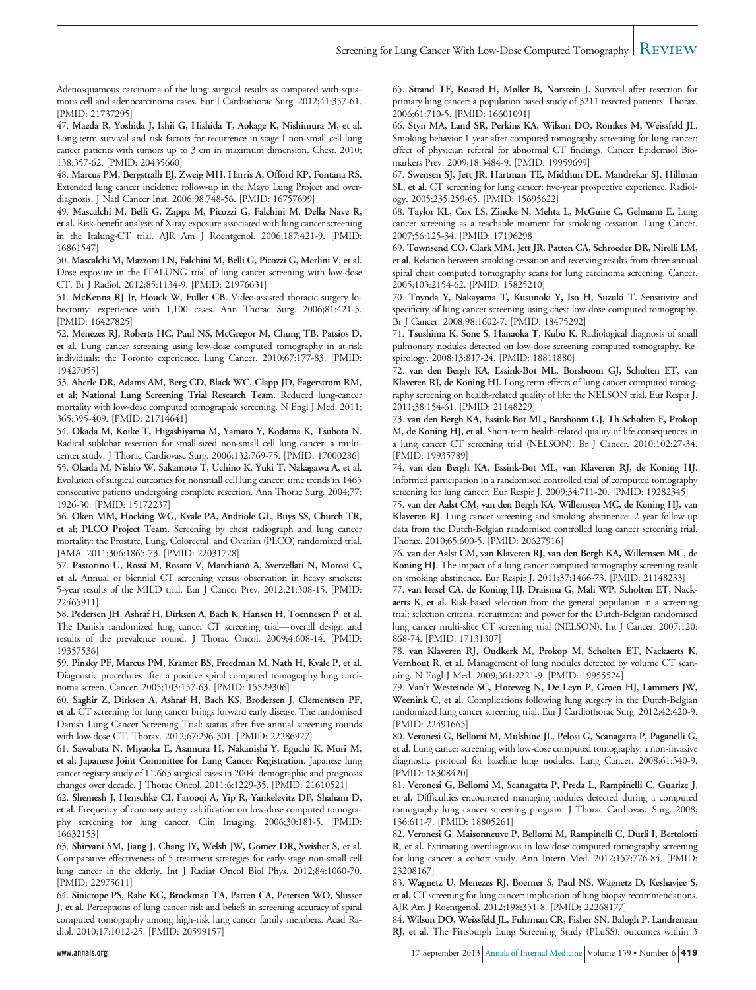Adenosquamous carcinoma of the lung: surgical results as compared with squamous cell and adenocarcinoma cases. Eur J Cardiothorac Surg. 2012;41:357-61. [PMID: 21737295]

47. **Maeda R, Yoshida J, Ishii G, Hishida T, Aokage K, Nishimura M, et al.** Long-term survival and risk factors for recurrence in stage I non-small cell lung cancer patients with tumors up to 3 cm in maximum dimension. Chest. 2010; 138:357-62. [PMID: 20435660]

48. **Marcus PM, Bergstralh EJ, Zweig MH, Harris A, Offord KP, Fontana RS.** Extended lung cancer incidence follow-up in the Mayo Lung Project and overdiagnosis. J Natl Cancer Inst. 2006;98:748-56. [PMID: 16757699]

49. **Mascalchi M, Belli G, Zappa M, Picozzi G, Falchini M, Della Nave R, et al.** Risk-benefit analysis of X-ray exposure associated with lung cancer screening in the Italung-CT trial. AJR Am J Roentgenol. 2006;187:421-9. [PMID: 16861547]

50. **Mascalchi M, Mazzoni LN, Falchini M, Belli G, Picozzi G, Merlini V, et al.** Dose exposure in the ITALUNG trial of lung cancer screening with low-dose CT. Br J Radiol. 2012;85:1134-9. [PMID: 21976631]

51. **McKenna RJ Jr, Houck W, Fuller CB.** Video-assisted thoracic surgery lobectomy: experience with 1,100 cases. Ann Thorac Surg. 2006;81:421-5. [PMID: 16427825]

52. **Menezes RJ, Roberts HC, Paul NS, McGregor M, Chung TB, Patsios D, et al.** Lung cancer screening using low-dose computed tomography in at-risk individuals: the Toronto experience. Lung Cancer. 2010;67:177-83. [PMID: 19427055]

53. **Aberle DR, Adams AM, Berg CD, Black WC, Clapp JD, Fagerstrom RM, et al; National Lung Screening Trial Research Team.** Reduced lung-cancer mortality with low-dose computed tomographic screening. N Engl J Med. 2011; 365:395-409. [PMID: 21714641]

54. **Okada M, Koike T, Higashiyama M, Yamato Y, Kodama K, Tsubota N.** Radical sublobar resection for small-sized non-small cell lung cancer: a multicenter study. J Thorac Cardiovasc Surg. 2006;132:769-75. [PMID: 17000286] 55. **Okada M, Nishio W, Sakamoto T, Uchino K, Yuki T, Nakagawa A, et al.** Evolution of surgical outcomes for nonsmall cell lung cancer: time trends in 1465 consecutive patients undergoing complete resection. Ann Thorac Surg. 2004;77: 1926-30. [PMID: 15172237]

56. **Oken MM, Hocking WG, Kvale PA, Andriole GL, Buys SS, Church TR, et al; PLCO Project Team.** Screening by chest radiograph and lung cancer mortality: the Prostate, Lung, Colorectal, and Ovarian (PLCO) randomized trial. JAMA. 2011;306:1865-73. [PMID: 22031728]

57. **Pastorino U, Rossi M, Rosato V, Marchiano` A, Sverzellati N, Morosi C, et al.** Annual or biennial CT screening versus observation in heavy smokers: 5-year results of the MILD trial. Eur J Cancer Prev. 2012;21:308-15. [PMID: 22465911]

58. **Pedersen JH, Ashraf H, Dirksen A, Bach K, Hansen H, Toennesen P, et al.** The Danish randomized lung cancer CT screening trial—overall design and results of the prevalence round. J Thorac Oncol. 2009;4:608-14. [PMID: 19357536]

59. **Pinsky PF, Marcus PM, Kramer BS, Freedman M, Nath H, Kvale P, et al.** Diagnostic procedures after a positive spiral computed tomography lung carcinoma screen. Cancer. 2005;103:157-63. [PMID: 15529306]

60. **Saghir Z, Dirksen A, Ashraf H, Bach KS, Brodersen J, Clementsen PF, et al.** CT screening for lung cancer brings forward early disease. The randomised Danish Lung Cancer Screening Trial: status after five annual screening rounds with low-dose CT. Thorax. 2012;67:296-301. [PMID: 22286927]

61. **Sawabata N, Miyaoka E, Asamura H, Nakanishi Y, Eguchi K, Mori M, et al; Japanese Joint Committee for Lung Cancer Registration.** Japanese lung cancer registry study of 11,663 surgical cases in 2004: demographic and prognosis changes over decade. J Thorac Oncol. 2011;6:1229-35. [PMID: 21610521]

62. **Shemesh J, Henschke CI, Farooqi A, Yip R, Yankelevitz DF, Shaham D, et al.** Frequency of coronary artery calcification on low-dose computed tomography screening for lung cancer. Clin Imaging. 2006;30:181-5. [PMID: 16632153]

63. **Shirvani SM, Jiang J, Chang JY, Welsh JW, Gomez DR, Swisher S, et al.** Comparative effectiveness of 5 treatment strategies for early-stage non-small cell lung cancer in the elderly. Int J Radiat Oncol Biol Phys. 2012;84:1060-70. [PMID: 22975611]

64. **Sinicrope PS, Rabe KG, Brockman TA, Patten CA, Petersen WO, Slusser J, et al.** Perceptions of lung cancer risk and beliefs in screening accuracy of spiral computed tomography among high-risk lung cancer family members. Acad Radiol. 2010;17:1012-25. [PMID: 20599157]

65. **Strand TE, Rostad H, Møller B, Norstein J.** Survival after resection for primary lung cancer: a population based study of 3211 resected patients. Thorax. 2006;61:710-5. [PMID: 16601091]

66. **Styn MA, Land SR, Perkins KA, Wilson DO, Romkes M, Weissfeld JL.** Smoking behavior 1 year after computed tomography screening for lung cancer: effect of physician referral for abnormal CT findings. Cancer Epidemiol Biomarkers Prev. 2009;18:3484-9. [PMID: 19959699]

67. **Swensen SJ, Jett JR, Hartman TE, Midthun DE, Mandrekar SJ, Hillman SL, et al.** CT screening for lung cancer: five-year prospective experience. Radiology. 2005;235:259-65. [PMID: 15695622]

68. **Taylor KL, Cox LS, Zincke N, Mehta L, McGuire C, Gelmann E.** Lung cancer screening as a teachable moment for smoking cessation. Lung Cancer. 2007;56:125-34. [PMID: 17196298]

69. **Townsend CO, Clark MM, Jett JR, Patten CA, Schroeder DR, Nirelli LM, et al.** Relation between smoking cessation and receiving results from three annual spiral chest computed tomography scans for lung carcinoma screening. Cancer. 2005;103:2154-62. [PMID: 15825210]

70. **Toyoda Y, Nakayama T, Kusunoki Y, Iso H, Suzuki T.** Sensitivity and specificity of lung cancer screening using chest low-dose computed tomography. Br J Cancer. 2008;98:1602-7. [PMID: 18475292]

71. **Tsushima K, Sone S, Hanaoka T, Kubo K.** Radiological diagnosis of small pulmonary nodules detected on low-dose screening computed tomography. Respirology. 2008;13:817-24. [PMID: 18811880]

72. **van den Bergh KA, Essink-Bot ML, Borsboom GJ, Scholten ET, van Klaveren RJ, de Koning HJ.** Long-term effects of lung cancer computed tomography screening on health-related quality of life: the NELSON trial. Eur Respir J. 2011;38:154-61. [PMID: 21148229]

73. **van den Bergh KA, Essink-Bot ML, Borsboom GJ, Th Scholten E, Prokop M, de Koning HJ, et al.** Short-term health-related quality of life consequences in a lung cancer CT screening trial (NELSON). Br J Cancer. 2010;102:27-34. [PMID: 19935789]

74. **van den Bergh KA, Essink-Bot ML, van Klaveren RJ, de Koning HJ.** Informed participation in a randomised controlled trial of computed tomography screening for lung cancer. Eur Respir J. 2009;34:711-20. [PMID: 19282345]

75. **van der Aalst CM, van den Bergh KA, Willemsen MC, de Koning HJ, van Klaveren RJ.** Lung cancer screening and smoking abstinence: 2 year follow-up data from the Dutch-Belgian randomised controlled lung cancer screening trial. Thorax. 2010;65:600-5. [PMID: 20627916]

76. **van der Aalst CM, van Klaveren RJ, van den Bergh KA, Willemsen MC, de Koning HJ.** The impact of a lung cancer computed tomography screening result on smoking abstinence. Eur Respir J. 2011;37:1466-73. [PMID: 21148233]

77. **van Iersel CA, de Koning HJ, Draisma G, Mali WP, Scholten ET, Nackaerts K, et al.** Risk-based selection from the general population in a screening trial: selection criteria, recruitment and power for the Dutch-Belgian randomised lung cancer multi-slice CT screening trial (NELSON). Int J Cancer. 2007;120: 868-74. [PMID: 17131307]

78. **van Klaveren RJ, Oudkerk M, Prokop M, Scholten ET, Nackaerts K, Vernhout R, et al.** Management of lung nodules detected by volume CT scanning. N Engl J Med. 2009;361:2221-9. [PMID: 19955524]

79. **Van't Westeinde SC, Horeweg N, De Leyn P, Groen HJ, Lammers JW, Weenink C, et al.** Complications following lung surgery in the Dutch-Belgian randomized lung cancer screening trial. Eur J Cardiothorac Surg. 2012;42:420-9. [PMID: 22491665]

80. **Veronesi G, Bellomi M, Mulshine JL, Pelosi G, Scanagatta P, Paganelli G, et al.** Lung cancer screening with low-dose computed tomography: a non-invasive diagnostic protocol for baseline lung nodules. Lung Cancer. 2008;61:340-9. [PMID: 18308420]

81. **Veronesi G, Bellomi M, Scanagatta P, Preda L, Rampinelli C, Guarize J, et al.** Difficulties encountered managing nodules detected during a computed tomography lung cancer screening program. J Thorac Cardiovasc Surg. 2008; 136:611-7. [PMID: 18805261]

82. **Veronesi G, Maisonneuve P, Bellomi M, Rampinelli C, Durli I, Bertolotti R, et al.** Estimating overdiagnosis in low-dose computed tomography screening for lung cancer: a cohort study. Ann Intern Med. 2012;157:776-84. [PMID: 23208167]

83. **Wagnetz U, Menezes RJ, Boerner S, Paul NS, Wagnetz D, Keshavjee S, et al.** CT screening for lung cancer: implication of lung biopsy recommendations. AJR Am J Roentgenol. 2012;198:351-8. [PMID: 22268177]

84. **Wilson DO, Weissfeld JL, Fuhrman CR, Fisher SN, Balogh P, Landreneau RJ, et al.** The Pittsburgh Lung Screening Study (PLuSS): outcomes within 3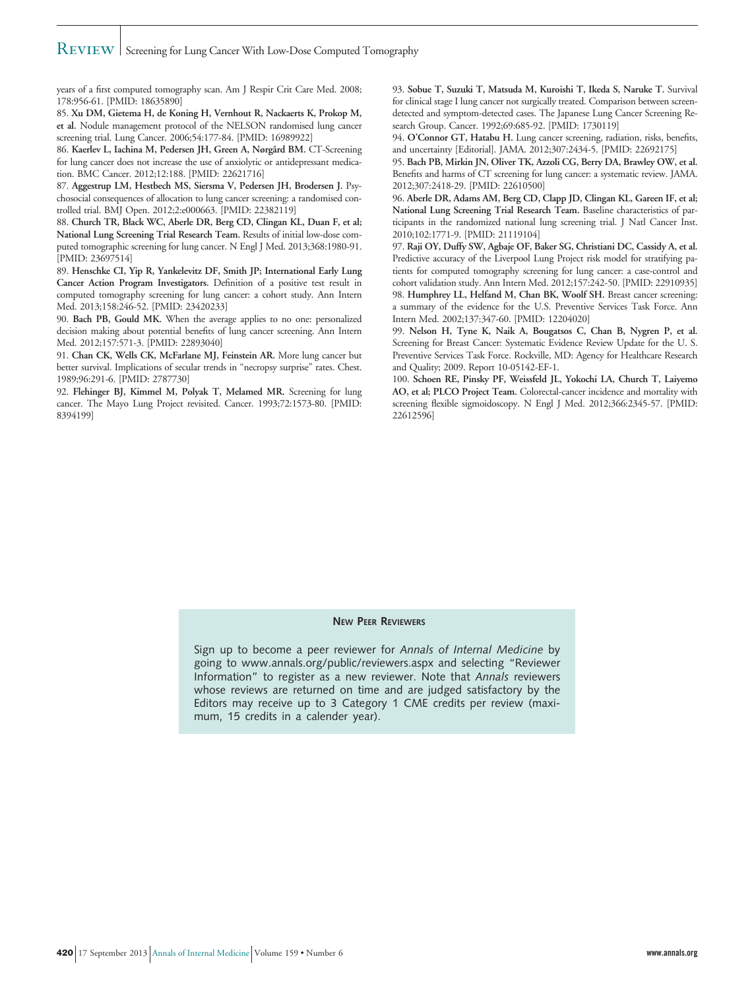## REVIEW Screening for Lung Cancer With Low-Dose Computed Tomography

years of a first computed tomography scan. Am J Respir Crit Care Med. 2008; 178:956-61. [PMID: 18635890]

85. **Xu DM, Gietema H, de Koning H, Vernhout R, Nackaerts K, Prokop M, et al.** Nodule management protocol of the NELSON randomised lung cancer screening trial. Lung Cancer. 2006;54:177-84. [PMID: 16989922]

86. **Kaerlev L, Iachina M, Pedersen JH, Green A, Nørgård BM.** CT-Screening for lung cancer does not increase the use of anxiolytic or antidepressant medication. BMC Cancer. 2012;12:188. [PMID: 22621716]

87. **Aggestrup LM, Hestbech MS, Siersma V, Pedersen JH, Brodersen J.** Psychosocial consequences of allocation to lung cancer screening: a randomised controlled trial. BMJ Open. 2012;2:e000663. [PMID: 22382119]

88. **Church TR, Black WC, Aberle DR, Berg CD, Clingan KL, Duan F, et al; National Lung Screening Trial Research Team.** Results of initial low-dose computed tomographic screening for lung cancer. N Engl J Med. 2013;368:1980-91. [PMID: 23697514]

89. **Henschke CI, Yip R, Yankelevitz DF, Smith JP; International Early Lung Cancer Action Program Investigators.** Definition of a positive test result in computed tomography screening for lung cancer: a cohort study. Ann Intern Med. 2013;158:246-52. [PMID: 23420233]

90. **Bach PB, Gould MK.** When the average applies to no one: personalized decision making about potential benefits of lung cancer screening. Ann Intern Med. 2012;157:571-3. [PMID: 22893040]

91. **Chan CK, Wells CK, McFarlane MJ, Feinstein AR.** More lung cancer but better survival. Implications of secular trends in "necropsy surprise" rates. Chest. 1989;96:291-6. [PMID: 2787730]

92. **Flehinger BJ, Kimmel M, Polyak T, Melamed MR.** Screening for lung cancer. The Mayo Lung Project revisited. Cancer. 1993;72:1573-80. [PMID: 8394199]

93. **Sobue T, Suzuki T, Matsuda M, Kuroishi T, Ikeda S, Naruke T.** Survival for clinical stage I lung cancer not surgically treated. Comparison between screendetected and symptom-detected cases. The Japanese Lung Cancer Screening Research Group. Cancer. 1992;69:685-92. [PMID: 1730119]

94. **O'Connor GT, Hatabu H.** Lung cancer screening, radiation, risks, benefits, and uncertainty [Editorial]. JAMA. 2012;307:2434-5. [PMID: 22692175]

95. **Bach PB, Mirkin JN, Oliver TK, Azzoli CG, Berry DA, Brawley OW, et al.** Benefits and harms of CT screening for lung cancer: a systematic review. JAMA. 2012;307:2418-29. [PMID: 22610500]

96. **Aberle DR, Adams AM, Berg CD, Clapp JD, Clingan KL, Gareen IF, et al; National Lung Screening Trial Research Team.** Baseline characteristics of participants in the randomized national lung screening trial. J Natl Cancer Inst. 2010;102:1771-9. [PMID: 21119104]

97. **Raji OY, Duffy SW, Agbaje OF, Baker SG, Christiani DC, Cassidy A, et al.** Predictive accuracy of the Liverpool Lung Project risk model for stratifying patients for computed tomography screening for lung cancer: a case-control and cohort validation study. Ann Intern Med. 2012;157:242-50. [PMID: 22910935] 98. **Humphrey LL, Helfand M, Chan BK, Woolf SH.** Breast cancer screening: a summary of the evidence for the U.S. Preventive Services Task Force. Ann Intern Med. 2002;137:347-60. [PMID: 12204020]

99. **Nelson H, Tyne K, Naik A, Bougatsos C, Chan B, Nygren P, et al.** Screening for Breast Cancer: Systematic Evidence Review Update for the U. S. Preventive Services Task Force. Rockville, MD: Agency for Healthcare Research and Quality; 2009. Report 10-05142-EF-1.

100. **Schoen RE, Pinsky PF, Weissfeld JL, Yokochi LA, Church T, Laiyemo AO, et al; PLCO Project Team.** Colorectal-cancer incidence and mortality with screening flexible sigmoidoscopy. N Engl J Med. 2012;366:2345-57. [PMID: 22612596]

#### **NEW PEER REVIEWERS**

Sign up to become a peer reviewer for *Annals of Internal Medicine* by going to www.annals.org/public/reviewers.aspx and selecting "Reviewer Information" to register as a new reviewer. Note that *Annals* reviewers whose reviews are returned on time and are judged satisfactory by the Editors may receive up to 3 Category 1 CME credits per review (maximum, 15 credits in a calender year).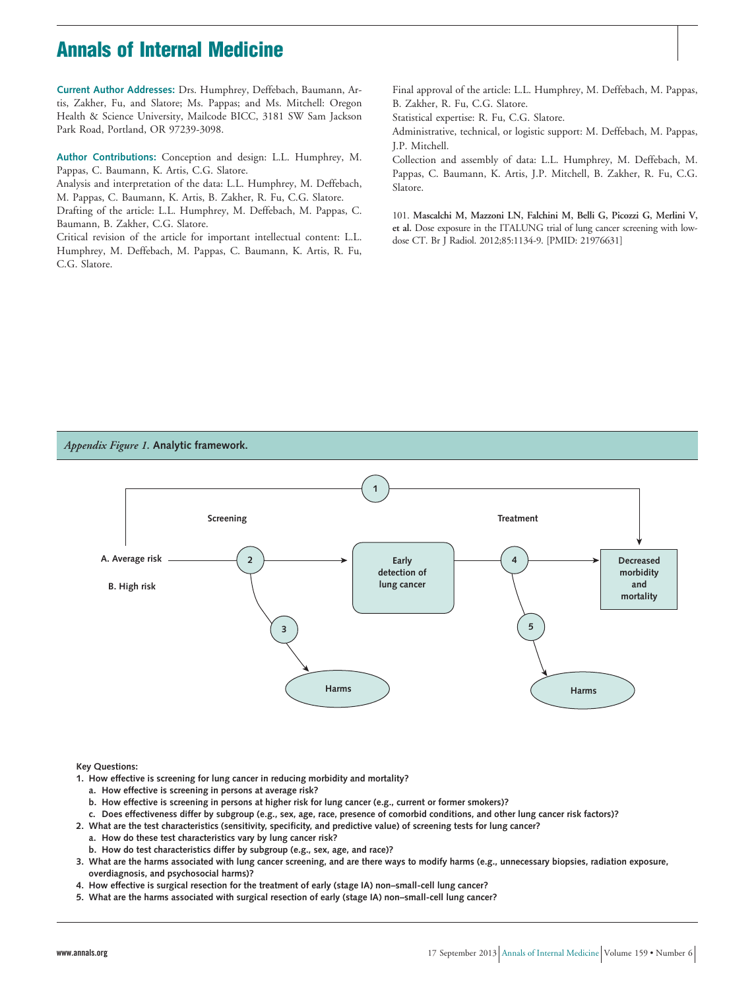# **Annals of Internal Medicine**

**Current Author Addresses:** Drs. Humphrey, Deffebach, Baumann, Artis, Zakher, Fu, and Slatore; Ms. Pappas; and Ms. Mitchell: Oregon Health & Science University, Mailcode BICC, 3181 SW Sam Jackson Park Road, Portland, OR 97239-3098.

**Author Contributions:** Conception and design: L.L. Humphrey, M. Pappas, C. Baumann, K. Artis, C.G. Slatore.

Analysis and interpretation of the data: L.L. Humphrey, M. Deffebach, M. Pappas, C. Baumann, K. Artis, B. Zakher, R. Fu, C.G. Slatore.

Drafting of the article: L.L. Humphrey, M. Deffebach, M. Pappas, C. Baumann, B. Zakher, C.G. Slatore.

Critical revision of the article for important intellectual content: L.L. Humphrey, M. Deffebach, M. Pappas, C. Baumann, K. Artis, R. Fu, C.G. Slatore.

Final approval of the article: L.L. Humphrey, M. Deffebach, M. Pappas, B. Zakher, R. Fu, C.G. Slatore.

Statistical expertise: R. Fu, C.G. Slatore.

Administrative, technical, or logistic support: M. Deffebach, M. Pappas, J.P. Mitchell.

Collection and assembly of data: L.L. Humphrey, M. Deffebach, M. Pappas, C. Baumann, K. Artis, J.P. Mitchell, B. Zakher, R. Fu, C.G. Slatore.

101. **Mascalchi M, Mazzoni LN, Falchini M, Belli G, Picozzi G, Merlini V, et al.** Dose exposure in the ITALUNG trial of lung cancer screening with lowdose CT. Br J Radiol. 2012;85:1134-9. [PMID: 21976631]

#### *Appendix Figure 1.* **Analytic framework.**



#### **Key Questions:**

- **1. How effective is screening for lung cancer in reducing morbidity and mortality?**
	- **a. How effective is screening in persons at average risk?**
	- **b. How effective is screening in persons at higher risk for lung cancer (e.g., current or former smokers)?**
	- **c. Does effectiveness differ by subgroup (e.g., sex, age, race, presence of comorbid conditions, and other lung cancer risk factors)?**
- **2. What are the test characteristics (sensitivity, specificity, and predictive value) of screening tests for lung cancer?**
- **a. How do these test characteristics vary by lung cancer risk?**
- **b. How do test characteristics differ by subgroup (e.g., sex, age, and race)?**
- **3. What are the harms associated with lung cancer screening, and are there ways to modify harms (e.g., unnecessary biopsies, radiation exposure, overdiagnosis, and psychosocial harms)?**
- **4. How effective is surgical resection for the treatment of early (stage IA) non–small-cell lung cancer?**
- **5. What are the harms associated with surgical resection of early (stage IA) non–small-cell lung cancer?**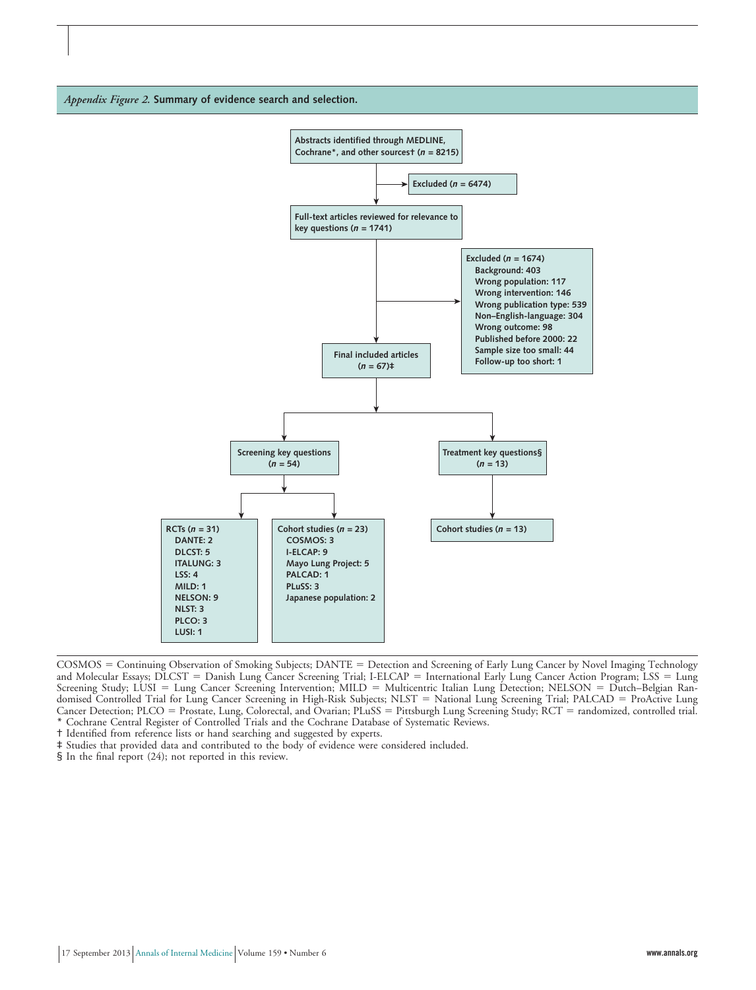



COSMOS Continuing Observation of Smoking Subjects; DANTE Detection and Screening of Early Lung Cancer by Novel Imaging Technology and Molecular Essays; DLCST = Danish Lung Cancer Screening Trial; I-ELCAP = International Early Lung Cancer Action Program; LSS = Lung Screening Study; LUSI = Lung Cancer Screening Intervention; MILD = Multicentric Italian Lung Detection; NELSON = Dutch-Belgian Randomised Controlled Trial for Lung Cancer Screening in High-Risk Subjects; NLST = National Lung Screening Trial; PALCAD = ProActive Lung Cancer Detection; PLCO = Prostate, Lung, Colorectal, and Ovarian; PLuSS = Pittsburgh Lung Screening Study; RCT = randomized, controlled trial. \* Cochrane Central Register of Controlled Trials and the Cochrane Database of Systematic Reviews.

† Identified from reference lists or hand searching and suggested by experts.

§ In the final report (24); not reported in this review.

<sup>‡</sup> Studies that provided data and contributed to the body of evidence were considered included.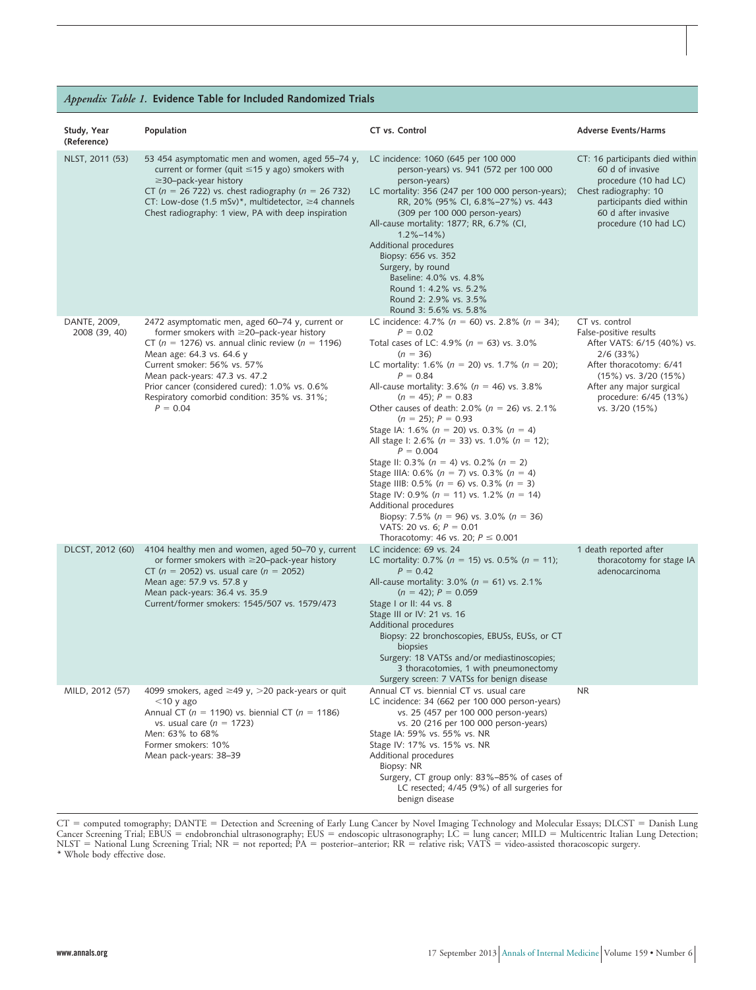|  |  |  |  |  | Appendix Table 1. Evidence Table for Included Randomized Trials |  |
|--|--|--|--|--|-----------------------------------------------------------------|--|
|--|--|--|--|--|-----------------------------------------------------------------|--|

| Study, Year<br>(Reference)    | Population                                                                                                                                                                                                                                                                                                                                                                    | CT vs. Control                                                                                                                                                                                                                                                                                                                                                                                                                                                                                                                                                                                                                                                                                                                                                                                                                                                       | <b>Adverse Events/Harms</b>                                                                                                                                                                                         |
|-------------------------------|-------------------------------------------------------------------------------------------------------------------------------------------------------------------------------------------------------------------------------------------------------------------------------------------------------------------------------------------------------------------------------|----------------------------------------------------------------------------------------------------------------------------------------------------------------------------------------------------------------------------------------------------------------------------------------------------------------------------------------------------------------------------------------------------------------------------------------------------------------------------------------------------------------------------------------------------------------------------------------------------------------------------------------------------------------------------------------------------------------------------------------------------------------------------------------------------------------------------------------------------------------------|---------------------------------------------------------------------------------------------------------------------------------------------------------------------------------------------------------------------|
| NLST, 2011 (53)               | 53 454 asymptomatic men and women, aged 55–74 y,<br>current or former (quit $\leq$ 15 y ago) smokers with<br>$\geq$ 30-pack-year history<br>CT ( $n = 26722$ ) vs. chest radiography ( $n = 26732$ )<br>CT: Low-dose (1.5 mSv)*, multidetector, $\geq$ 4 channels<br>Chest radiography: 1 view, PA with deep inspiration                                                      | LC incidence: 1060 (645 per 100 000<br>person-years) vs. 941 (572 per 100 000<br>person-years)<br>LC mortality: 356 (247 per 100 000 person-years);<br>RR, 20% (95% CI, 6.8%-27%) vs. 443<br>(309 per 100 000 person-years)<br>All-cause mortality: 1877; RR, 6.7% (CI,<br>$1.2\% - 14\%$<br>Additional procedures<br>Biopsy: 656 vs. 352<br>Surgery, by round<br>Baseline: 4.0% vs. 4.8%<br>Round 1: 4.2% vs. 5.2%<br>Round 2: 2.9% vs. 3.5%<br>Round 3: 5.6% vs. 5.8%                                                                                                                                                                                                                                                                                                                                                                                              | CT: 16 participants died within<br>60 d of invasive<br>procedure (10 had LC)<br>Chest radiography: 10<br>participants died within<br>60 d after invasive<br>procedure (10 had LC)                                   |
| DANTE, 2009,<br>2008 (39, 40) | 2472 asymptomatic men, aged 60–74 y, current or<br>former smokers with $\geq$ 20-pack-year history<br>CT ( $n = 1276$ ) vs. annual clinic review ( $n = 1196$ )<br>Mean age: 64.3 vs. 64.6 y<br>Current smoker: 56% vs. 57%<br>Mean pack-years: 47.3 vs. 47.2<br>Prior cancer (considered cured): 1.0% vs. 0.6%<br>Respiratory comorbid condition: 35% vs. 31%;<br>$P = 0.04$ | LC incidence: 4.7% ( $n = 60$ ) vs. 2.8% ( $n = 34$ );<br>$P = 0.02$<br>Total cases of LC: 4.9% ( $n = 63$ ) vs. 3.0%<br>$(n = 36)$<br>LC mortality: 1.6% ( $n = 20$ ) vs. 1.7% ( $n = 20$ );<br>$P = 0.84$<br>All-cause mortality: 3.6% ( $n = 46$ ) vs. 3.8%<br>$(n = 45); P = 0.83$<br>Other causes of death: 2.0% ( $n = 26$ ) vs. 2.1%<br>$(n = 25); P = 0.93$<br>Stage IA: 1.6% ( $n = 20$ ) vs. 0.3% ( $n = 4$ )<br>All stage I: 2.6% ( $n = 33$ ) vs. 1.0% ( $n = 12$ );<br>$P = 0.004$<br>Stage II: 0.3% ( $n = 4$ ) vs. 0.2% ( $n = 2$ )<br>Stage IIIA: 0.6% ( $n = 7$ ) vs. 0.3% ( $n = 4$ )<br>Stage IIIB: 0.5% ( $n = 6$ ) vs. 0.3% ( $n = 3$ )<br>Stage IV: 0.9% ( $n = 11$ ) vs. 1.2% ( $n = 14$ )<br>Additional procedures<br>Biopsy: 7.5% ( $n = 96$ ) vs. 3.0% ( $n = 36$ )<br>VATS: 20 vs. 6; $P = 0.01$<br>Thoracotomy: 46 vs. 20; $P \le 0.001$ | CT vs. control<br>False-positive results<br>After VATS: 6/15 (40%) vs.<br>2/6 (33%)<br>After thoracotomy: 6/41<br>$(15\%)$ vs. 3/20 $(15\%)$<br>After any major surgical<br>procedure: 6/45 (13%)<br>vs. 3/20 (15%) |
| DLCST, 2012 (60)              | 4104 healthy men and women, aged 50–70 y, current<br>or former smokers with $\geq$ 20-pack-year history<br>CT ( $n = 2052$ ) vs. usual care ( $n = 2052$ )<br>Mean age: 57.9 vs. 57.8 y<br>Mean pack-years: 36.4 vs. 35.9<br>Current/former smokers: 1545/507 vs. 1579/473                                                                                                    | LC incidence: 69 vs. 24<br>LC mortality: 0.7% ( $n = 15$ ) vs. 0.5% ( $n = 11$ );<br>$P = 0.42$<br>All-cause mortality: 3.0% ( $n = 61$ ) vs. 2.1%<br>$(n = 42)$ ; $P = 0.059$<br>Stage I or II: 44 vs. 8<br>Stage III or IV: 21 vs. $16$<br>Additional procedures<br>Biopsy: 22 bronchoscopies, EBUSs, EUSs, or CT<br>biopsies<br>Surgery: 18 VATSs and/or mediastinoscopies;<br>3 thoracotomies, 1 with pneumonectomy<br>Surgery screen: 7 VATSs for benign disease                                                                                                                                                                                                                                                                                                                                                                                                | 1 death reported after<br>thoracotomy for stage IA<br>adenocarcinoma                                                                                                                                                |
| MILD, 2012 (57)               | 4099 smokers, aged ≥49 y, >20 pack-years or quit<br>$<$ 10 y ago<br>Annual CT ( $n = 1190$ ) vs. biennial CT ( $n = 1186$ )<br>vs. usual care ( $n = 1723$ )<br>Men: 63% to 68%<br>Former smokers: 10%<br>Mean pack-years: 38–39                                                                                                                                              | Annual CT vs. biennial CT vs. usual care<br>LC incidence: 34 (662 per 100 000 person-years)<br>vs. 25 (457 per 100 000 person-years)<br>vs. 20 (216 per 100 000 person-years)<br>Stage IA: 59% vs. 55% vs. NR<br>Stage IV: 17% vs. 15% vs. NR<br>Additional procedures<br>Biopsy: NR<br>Surgery, CT group only: 83%–85% of cases of<br>LC resected; 4/45 (9%) of all surgeries for<br>benign disease                                                                                                                                                                                                                                                                                                                                                                                                                                                                 | <b>NR</b>                                                                                                                                                                                                           |

CT = computed tomography; DANTE = Detection and Screening of Early Lung Cancer by Novel Imaging Technology and Molecular Essays; DLCST = Danish Lung Cancer Screening Trial; EBUS = endobronchial ultrasonography; EUS = endoscopic ultrasonography; LC = lung cancer; MILD = Multicentric Italian Lung Detection; NLST = National Lung Screening Trial; NR = not reported; PA = posterior–anterior; RR = relative risk; VATS = video-assisted thoracoscopic surgery. \* Whole body effective dose.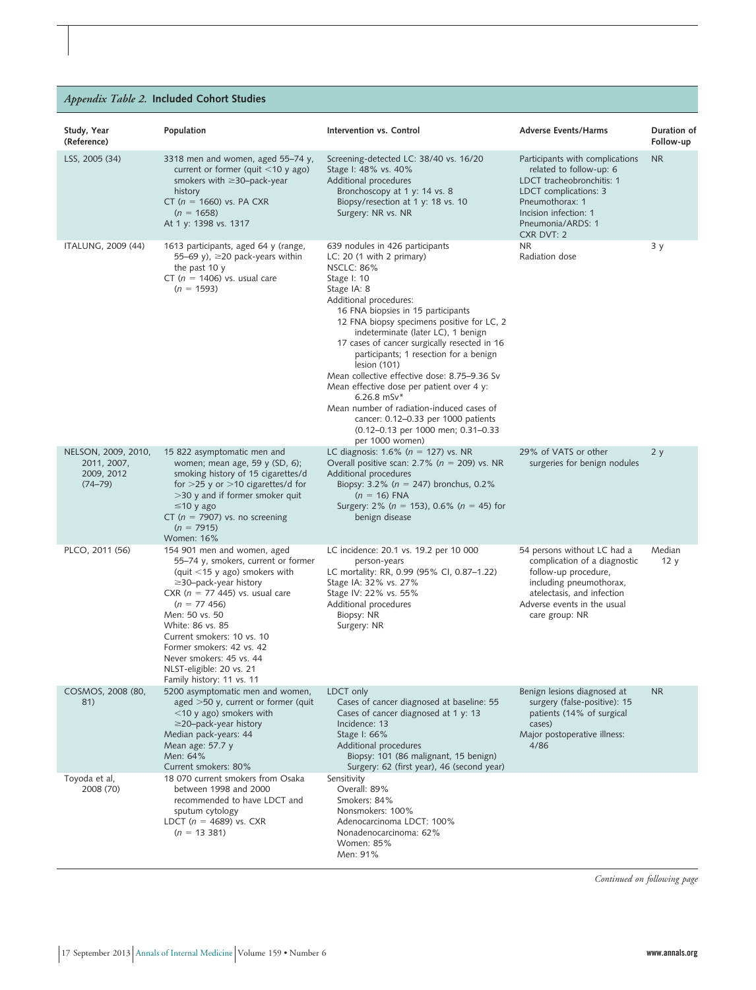## *Appendix Table 2.* **Included Cohort Studies**

| Study, Year<br>(Reference)                                      | Population                                                                                                                                                                                                                                                                                                                                                                                | Intervention vs. Control                                                                                                                                                                                                                                                                                                                                                                                                                                                                                                                                                                                                                   | <b>Adverse Events/Harms</b>                                                                                                                                                                     | Duration of<br>Follow-up |
|-----------------------------------------------------------------|-------------------------------------------------------------------------------------------------------------------------------------------------------------------------------------------------------------------------------------------------------------------------------------------------------------------------------------------------------------------------------------------|--------------------------------------------------------------------------------------------------------------------------------------------------------------------------------------------------------------------------------------------------------------------------------------------------------------------------------------------------------------------------------------------------------------------------------------------------------------------------------------------------------------------------------------------------------------------------------------------------------------------------------------------|-------------------------------------------------------------------------------------------------------------------------------------------------------------------------------------------------|--------------------------|
| LSS, 2005 (34)                                                  | 3318 men and women, aged 55–74 y,<br>current or former (quit $\leq$ 10 y ago)<br>smokers with $\geq$ 30-pack-year<br>history<br>CT ( $n = 1660$ ) vs. PA CXR<br>$(n = 1658)$<br>At 1 y: 1398 vs. 1317                                                                                                                                                                                     | Screening-detected LC: 38/40 vs. 16/20<br>Stage I: 48% vs. 40%<br>Additional procedures<br>Bronchoscopy at 1 y: 14 vs. 8<br>Biopsy/resection at 1 y: 18 vs. 10<br>Surgery: NR vs. NR                                                                                                                                                                                                                                                                                                                                                                                                                                                       | Participants with complications<br>related to follow-up: 6<br>LDCT tracheobronchitis: 1<br>LDCT complications: 3<br>Pneumothorax: 1<br>Incision infection: 1<br>Pneumonia/ARDS: 1<br>CXR DVT: 2 | <b>NR</b>                |
| ITALUNG, 2009 (44)                                              | 1613 participants, aged 64 y (range,<br>55–69 y), $\geq$ 20 pack-years within<br>the past 10 y<br>CT ( $n = 1406$ ) vs. usual care<br>$(n = 1593)$                                                                                                                                                                                                                                        | 639 nodules in 426 participants<br>LC: $20$ (1 with 2 primary)<br><b>NSCLC: 86%</b><br>Stage I: 10<br>Stage IA: 8<br>Additional procedures:<br>16 FNA biopsies in 15 participants<br>12 FNA biopsy specimens positive for LC, 2<br>indeterminate (later LC), 1 benign<br>17 cases of cancer surgically resected in 16<br>participants; 1 resection for a benign<br>lesion (101)<br>Mean collective effective dose: 8.75-9.36 Sv<br>Mean effective dose per patient over 4 y:<br>$6.26.8$ mSv*<br>Mean number of radiation-induced cases of<br>cancer: 0.12-0.33 per 1000 patients<br>(0.12-0.13 per 1000 men; 0.31-0.33<br>per 1000 women) | <b>NR</b><br>Radiation dose                                                                                                                                                                     | 3у                       |
| NELSON, 2009, 2010,<br>2011, 2007,<br>2009, 2012<br>$(74 - 79)$ | 15 822 asymptomatic men and<br>women; mean age, 59 y (SD, 6);<br>smoking history of 15 cigarettes/d<br>for $>$ 25 y or $>$ 10 cigarettes/d for<br>$>$ 30 y and if former smoker quit<br>$\leq$ 10 y ago<br>CT ( $n = 7907$ ) vs. no screening<br>$(n = 7915)$<br>Women: 16%                                                                                                               | LC diagnosis: 1.6% ( $n = 127$ ) vs. NR<br>Overall positive scan: 2.7% ( $n = 209$ ) vs. NR<br>Additional procedures<br>Biopsy: 3.2% ( $n = 247$ ) bronchus, 0.2%<br>$(n = 16)$ FNA<br>Surgery: 2% ( $n = 153$ ), 0.6% ( $n = 45$ ) for<br>benign disease                                                                                                                                                                                                                                                                                                                                                                                  | 29% of VATS or other<br>surgeries for benign nodules                                                                                                                                            | 2y                       |
| PLCO, 2011 (56)                                                 | 154 901 men and women, aged<br>55–74 y, smokers, current or former<br>(quit $\langle$ 15 y ago) smokers with<br>$\geq$ 30–pack-year history<br>CXR ( $n = 77$ 445) vs. usual care<br>$(n = 77 456)$<br>Men: 50 vs. 50<br>White: 86 vs. 85<br>Current smokers: 10 vs. 10<br>Former smokers: 42 vs. 42<br>Never smokers: 45 vs. 44<br>NLST-eligible: 20 vs. 21<br>Family history: 11 vs. 11 | LC incidence: 20.1 vs. 19.2 per 10 000<br>person-years<br>LC mortality: RR, 0.99 (95% CI, 0.87–1.22)<br>Stage IA: 32% vs. 27%<br>Stage IV: 22% vs. 55%<br>Additional procedures<br>Biopsy: NR<br>Surgery: NR                                                                                                                                                                                                                                                                                                                                                                                                                               | 54 persons without LC had a<br>complication of a diagnostic<br>follow-up procedure,<br>including pneumothorax,<br>atelectasis, and infection<br>Adverse events in the usual<br>care group: NR   | Median<br>12y            |
| COSMOS, 2008 (80,<br>81)                                        | 5200 asymptomatic men and women,<br>aged $>50$ y, current or former (quit<br>$<$ 10 y ago) smokers with<br>$\geq$ 20-pack-year history<br>Median pack-years: 44<br>Mean age: 57.7 y<br>Men: 64%<br>Current smokers: 80%                                                                                                                                                                   | LDCT only<br>Cases of cancer diagnosed at baseline: 55<br>Cases of cancer diagnosed at 1 y: 13<br>Incidence: 13<br>Stage I: 66%<br>Additional procedures<br>Biopsy: 101 (86 malignant, 15 benign)<br>Surgery: 62 (first year), 46 (second year)                                                                                                                                                                                                                                                                                                                                                                                            | Benign lesions diagnosed at<br>surgery (false-positive): 15<br>patients (14% of surgical<br>cases)<br>Major postoperative illness:<br>4/86                                                      | <b>NR</b>                |
| Toyoda et al,<br>2008 (70)                                      | 18 070 current smokers from Osaka<br>between 1998 and 2000<br>recommended to have LDCT and<br>sputum cytology<br>LDCT ( $n = 4689$ ) vs. CXR<br>$(n = 13 381)$                                                                                                                                                                                                                            | Sensitivity<br>Overall: 89%<br>Smokers: 84%<br>Nonsmokers: 100%<br>Adenocarcinoma LDCT: 100%<br>Nonadenocarcinoma: 62%<br>Women: 85%<br>Men: 91%                                                                                                                                                                                                                                                                                                                                                                                                                                                                                           |                                                                                                                                                                                                 |                          |

*Continued on following page*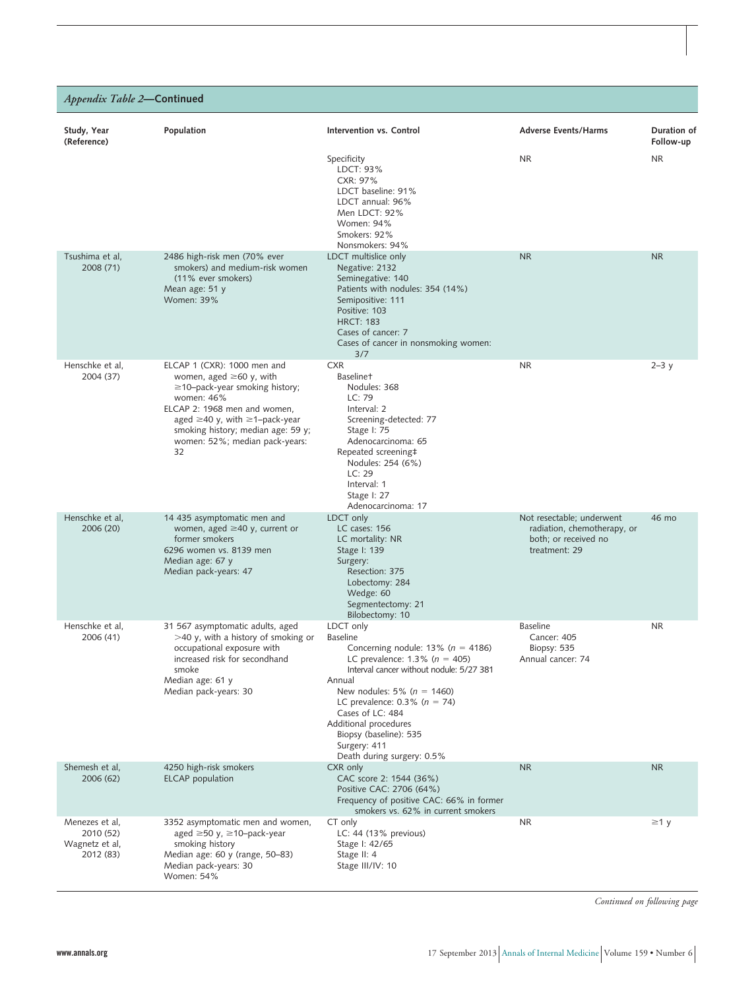| Appendix Table 2-Continued                                 |                                                                                                                                                                                                                                                                               |                                                                                                                                                                                                                                                                                                                                                                   |                                                                                                   |                          |  |  |
|------------------------------------------------------------|-------------------------------------------------------------------------------------------------------------------------------------------------------------------------------------------------------------------------------------------------------------------------------|-------------------------------------------------------------------------------------------------------------------------------------------------------------------------------------------------------------------------------------------------------------------------------------------------------------------------------------------------------------------|---------------------------------------------------------------------------------------------------|--------------------------|--|--|
| Study, Year<br>(Reference)                                 | Population                                                                                                                                                                                                                                                                    | Intervention vs. Control                                                                                                                                                                                                                                                                                                                                          | <b>Adverse Events/Harms</b>                                                                       | Duration of<br>Follow-up |  |  |
|                                                            |                                                                                                                                                                                                                                                                               | Specificity<br>LDCT: 93%<br>CXR: 97%<br>LDCT baseline: 91%<br>LDCT annual: 96%<br>Men LDCT: 92%<br>Women: 94%<br>Smokers: 92%<br>Nonsmokers: 94%                                                                                                                                                                                                                  | <b>NR</b>                                                                                         | <b>NR</b>                |  |  |
| Tsushima et al,<br>2008 (71)                               | 2486 high-risk men (70% ever<br>smokers) and medium-risk women<br>(11% ever smokers)<br>Mean age: 51 y<br>Women: 39%                                                                                                                                                          | LDCT multislice only<br>Negative: 2132<br>Seminegative: 140<br>Patients with nodules: 354 (14%)<br>Semipositive: 111<br>Positive: 103<br><b>HRCT: 183</b><br>Cases of cancer: 7<br>Cases of cancer in nonsmoking women:<br>3/7                                                                                                                                    | <b>NR</b>                                                                                         | <b>NR</b>                |  |  |
| Henschke et al,<br>2004 (37)                               | ELCAP 1 (CXR): 1000 men and<br>women, aged $\geq 60$ y, with<br>$\geq$ 10–pack-year smoking history;<br>women: 46%<br>ELCAP 2: 1968 men and women,<br>aged $\geq$ 40 y, with $\geq$ 1-pack-year<br>smoking history; median age: 59 y;<br>women: 52%; median pack-years:<br>32 | <b>CXR</b><br>Baseline <sup>+</sup><br>Nodules: 368<br>LC: 79<br>Interval: 2<br>Screening-detected: 77<br>Stage I: 75<br>Adenocarcinoma: 65<br>Repeated screening‡<br>Nodules: 254 (6%)<br>LC: 29<br>Interval: 1<br>Stage I: 27<br>Adenocarcinoma: 17                                                                                                             | <b>NR</b>                                                                                         | $2 - 3y$                 |  |  |
| Henschke et al,<br>2006 (20)                               | 14 435 asymptomatic men and<br>women, aged $\geq$ 40 y, current or<br>former smokers<br>6296 women vs. 8139 men<br>Median age: 67 y<br>Median pack-years: 47                                                                                                                  | LDCT only<br>LC cases: 156<br>LC mortality: NR<br>Stage I: 139<br>Surgery:<br>Resection: 375<br>Lobectomy: 284<br>Wedge: 60<br>Segmentectomy: 21<br>Bilobectomy: 10                                                                                                                                                                                               | Not resectable; underwent<br>radiation, chemotherapy, or<br>both; or received no<br>treatment: 29 | 46 mo                    |  |  |
| Henschke et al,<br>2006 (41)                               | 31 567 asymptomatic adults, aged<br>$>40$ y, with a history of smoking or<br>occupational exposure with<br>increased risk for secondhand<br>smoke<br>Median age: 61 y<br>Median pack-years: 30                                                                                | LDCT only<br><b>Baseline</b><br>Concerning nodule: $13\%$ ( $n = 4186$ )<br>LC prevalence: 1.3% ( $n = 405$ )<br>Interval cancer without nodule: 5/27 381<br>Annual<br>New nodules: 5% ( $n = 1460$ )<br>LC prevalence: $0.3\%$ ( $n = 74$ )<br>Cases of LC: 484<br>Additional procedures<br>Biopsy (baseline): 535<br>Surgery: 411<br>Death during surgery: 0.5% | <b>Baseline</b><br>Cancer: 405<br>Biopsy: 535<br>Annual cancer: 74                                | N <sub>R</sub>           |  |  |
| Shemesh et al,<br>2006 (62)                                | 4250 high-risk smokers<br><b>ELCAP</b> population                                                                                                                                                                                                                             | CXR only<br>CAC score 2: 1544 (36%)<br>Positive CAC: 2706 (64%)<br>Frequency of positive CAC: 66% in former<br>smokers vs. 62% in current smokers                                                                                                                                                                                                                 | <b>NR</b>                                                                                         | N <sub>R</sub>           |  |  |
| Menezes et al,<br>2010 (52)<br>Wagnetz et al,<br>2012 (83) | 3352 asymptomatic men and women,<br>aged $\geq 50$ y, $\geq 10$ -pack-year<br>smoking history<br>Median age: 60 y (range, 50-83)<br>Median pack-years: 30<br>Women: 54%                                                                                                       | CT only<br>LC: 44 (13% previous)<br>Stage I: 42/65<br>Stage II: 4<br>Stage III/IV: 10                                                                                                                                                                                                                                                                             | <b>NR</b>                                                                                         | $\geq$ 1 y               |  |  |

*Continued on following page*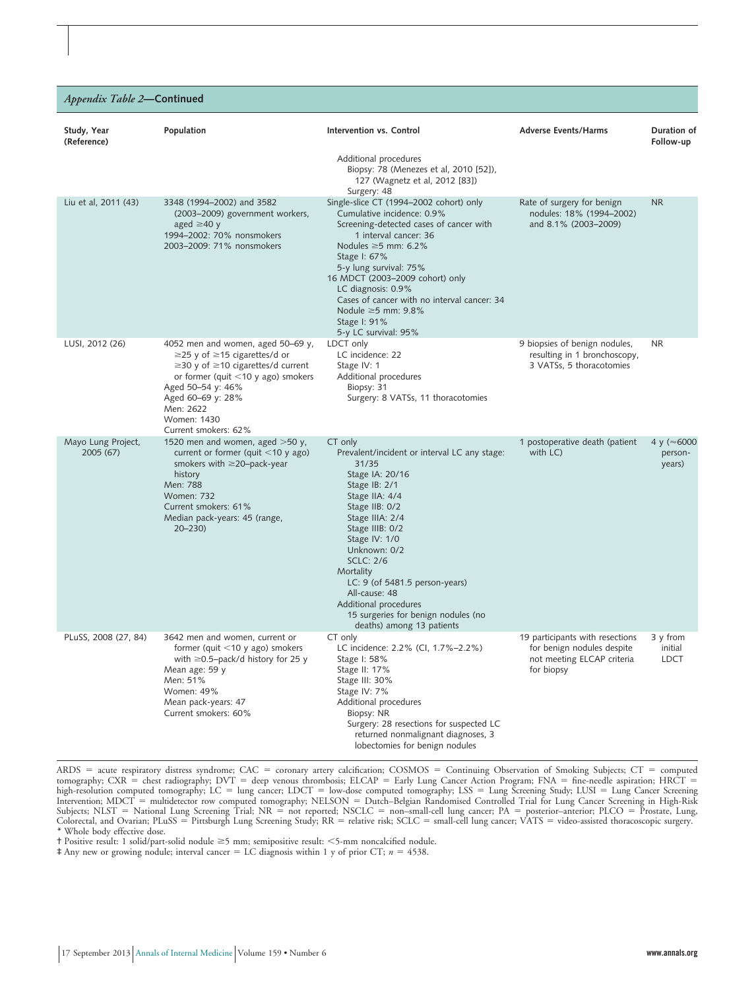#### *Appendix Table 2***—Continued**

| Study, Year<br>(Reference)      | Population                                                                                                                                                                                                                                                     | Intervention vs. Control                                                                                                                                                                                                                                                                                                                                                                         | <b>Adverse Events/Harms</b>                                                                               | Duration of<br>Follow-up                  |
|---------------------------------|----------------------------------------------------------------------------------------------------------------------------------------------------------------------------------------------------------------------------------------------------------------|--------------------------------------------------------------------------------------------------------------------------------------------------------------------------------------------------------------------------------------------------------------------------------------------------------------------------------------------------------------------------------------------------|-----------------------------------------------------------------------------------------------------------|-------------------------------------------|
|                                 |                                                                                                                                                                                                                                                                | Additional procedures<br>Biopsy: 78 (Menezes et al, 2010 [52]),<br>127 (Wagnetz et al, 2012 [83])<br>Surgery: 48                                                                                                                                                                                                                                                                                 |                                                                                                           |                                           |
| Liu et al, 2011 (43)            | 3348 (1994–2002) and 3582<br>(2003-2009) government workers,<br>aged $\geq$ 40 y<br>1994-2002: 70% nonsmokers<br>2003-2009: 71% nonsmokers                                                                                                                     | Single-slice CT (1994-2002 cohort) only<br>Cumulative incidence: 0.9%<br>Screening-detected cases of cancer with<br>1 interval cancer: 36<br>Nodules $\geq$ 5 mm: 6.2%<br>Stage I: 67%<br>5-y lung survival: 75%<br>16 MDCT (2003-2009 cohort) only<br>LC diagnosis: 0.9%<br>Cases of cancer with no interval cancer: 34<br>Nodule $\geq$ 5 mm: 9.8%<br>Stage I: 91%<br>5-y LC survival: 95%     | Rate of surgery for benign<br>nodules: 18% (1994-2002)<br>and 8.1% (2003-2009)                            | <b>NR</b>                                 |
| LUSI, 2012 (26)                 | 4052 men and women, aged $50-69$ y,<br>≥25 y of ≥15 cigarettes/d or<br>$\geq$ 30 y of $\geq$ 10 cigarettes/d current<br>or former (quit $\leq$ 10 y ago) smokers<br>Aged 50-54 y: 46%<br>Aged 60-69 y: 28%<br>Men: 2622<br>Women: 1430<br>Current smokers: 62% | LDCT only<br>LC incidence: 22<br>Stage IV: 1<br>Additional procedures<br>Biopsy: 31<br>Surgery: 8 VATSs, 11 thoracotomies                                                                                                                                                                                                                                                                        | 9 biopsies of benign nodules,<br>resulting in 1 bronchoscopy,<br>3 VATSs, 5 thoracotomies                 | <b>NR</b>                                 |
| Mayo Lung Project,<br>2005 (67) | 1520 men and women, aged $>50$ y,<br>current or former (quit $\langle 10 \rangle$ y ago)<br>smokers with ≥20-pack-year<br>history<br>Men: 788<br><b>Women: 732</b><br>Current smokers: 61%<br>Median pack-years: 45 (range,<br>$20 - 230$                      | CT only<br>Prevalent/incident or interval LC any stage:<br>31/35<br>Stage IA: 20/16<br>Stage IB: 2/1<br>Stage IIA: 4/4<br>Stage IIB: 0/2<br>Stage IIIA: 2/4<br>Stage IIIB: 0/2<br>Stage IV: 1/0<br>Unknown: 0/2<br><b>SCLC: 2/6</b><br>Mortality<br>LC: 9 (of 5481.5 person-years)<br>All-cause: 48<br>Additional procedures<br>15 surgeries for benign nodules (no<br>deaths) among 13 patients | 1 postoperative death (patient<br>with LC)                                                                | 4 y ( $\approx$ 6000<br>person-<br>years) |
| PLuSS, 2008 (27, 84)            | 3642 men and women, current or<br>former (quit $<$ 10 y ago) smokers<br>with $\geq$ 0.5-pack/d history for 25 y<br>Mean age: 59 y<br>Men: 51%<br>Women: 49%<br>Mean pack-years: 47<br>Current smokers: 60%                                                     | CT only<br>LC incidence: 2.2% (CI, 1.7%-2.2%)<br>Stage I: 58%<br>Stage II: 17%<br>Stage III: 30%<br>Stage IV: 7%<br>Additional procedures<br>Biopsy: NR<br>Surgery: 28 resections for suspected LC<br>returned nonmalignant diagnoses, 3<br>lobectomies for benign nodules                                                                                                                       | 19 participants with resections<br>for benign nodules despite<br>not meeting ELCAP criteria<br>for biopsy | 3 y from<br>initial<br><b>LDCT</b>        |

ARDS = acute respiratory distress syndrome; CAC = coronary artery calcification; COSMOS = Continuing Observation of Smoking Subjects; CT = computed tomography; CXR = chest radiography; DVT = deep venous thrombosis; ELCAP = Early Lung Cancer Action Program; FNA = fine-needle aspiration; HRCT = high-resolution computed tomography; LC = lung cancer; LDCT = low-dose computed tomography; LSS = Lung Screening Study; LUSI = Lung Cancer Screening Intervention; MDCT = multidetector row computed tomography; NELSON = Dutch–Belgian Randomised Controlled Trial for Lung Cancer Screening in High-Risk Subjects; NLST = National Lung Screening Trial; NR = not reported; NSCLC = non–small-cell lung cancer; PA = posterior–anterior; PLCO = Prostate, Lung, Colorectal, and Ovarian; PLuSS = Pittsburgh Lung Screening Study; RR = relative risk; SCLC = small-cell lung cancer; VATS = video-assisted thoracoscopic surgery. \* Whole body effective dose.

† Positive result: 1 solid/part-solid nodule ≥5 mm; semipositive result: <5-mm noncalcified nodule.

 $\ddagger$  Any new or growing nodule; interval cancer = LC diagnosis within 1 y of prior CT;  $n = 4538$ .